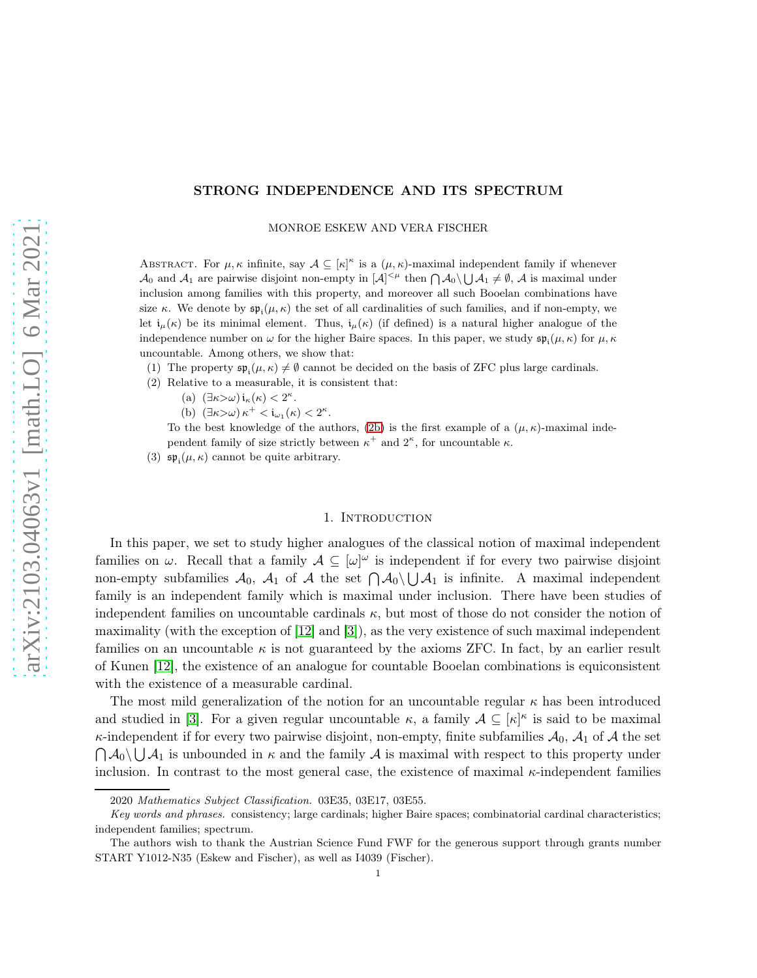# STRONG INDEPENDENCE AND ITS SPECTRUM

MONROE ESKEW AND VERA FISCHER

ABSTRACT. For  $\mu, \kappa$  infinite, say  $\mathcal{A} \subseteq [\kappa]^{\kappa}$  is a  $(\mu, \kappa)$ -maximal independent family if whenever  $\mathcal{A}_0$  and  $\mathcal{A}_1$  are pairwise disjoint non-empty in  $|\mathcal{A}|^{<\mu}$  then  $\bigcap \mathcal{A}_0 \setminus \bigcup \mathcal{A}_1 \neq \emptyset$ ,  $\mathcal{A}$  is maximal under inclusion among families with this property, and moreover all such Booelan combinations have size κ. We denote by  $\mathfrak{sp}_{i}(\mu,\kappa)$  the set of all cardinalities of such families, and if non-empty, we let  $i_{\mu}(\kappa)$  be its minimal element. Thus,  $i_{\mu}(\kappa)$  (if defined) is a natural higher analogue of the independence number on  $\omega$  for the higher Baire spaces. In this paper, we study  $\mathfrak{sp}_{i}(\mu,\kappa)$  for  $\mu,\kappa$ uncountable. Among others, we show that:

- (1) The property  $\mathfrak{sp}_i(\mu,\kappa) \neq \emptyset$  cannot be decided on the basis of ZFC plus large cardinals.
- <span id="page-0-0"></span>(2) Relative to a measurable, it is consistent that:
	- (a)  $(\exists \kappa > \omega) i_{\kappa}(\kappa) < 2^{\kappa}.$
	- (b)  $(\exists \kappa > \omega) \kappa^+ < i_{\omega_1}(\kappa) < 2^{\kappa}.$

To the best knowledge of the authors, [\(2b\)](#page-0-0) is the first example of a  $(\mu, \kappa)$ -maximal independent family of size strictly between  $\kappa^+$  and  $2^{\kappa}$ , for uncountable  $\kappa$ .

(3)  $\mathfrak{sp}_{i}(\mu,\kappa)$  cannot be quite arbitrary.

#### 1. INTRODUCTION

In this paper, we set to study higher analogues of the classical notion of maximal independent families on  $\omega$ . Recall that a family  $\mathcal{A} \subseteq [\omega]^{\omega}$  is independent if for every two pairwise disjoint non-empty subfamilies  $\mathcal{A}_0$ ,  $\mathcal{A}_1$  of  $\mathcal{A}$  the set  $\bigcap \mathcal{A}_0 \setminus \bigcup \mathcal{A}_1$  is infinite. A maximal independent family is an independent family which is maximal under inclusion. There have been studies of independent families on uncountable cardinals  $\kappa$ , but most of those do not consider the notion of maximality (with the exception of [\[12\]](#page-20-0) and [\[3\]](#page-19-0)), as the very existence of such maximal independent families on an uncountable  $\kappa$  is not guaranteed by the axioms ZFC. In fact, by an earlier result of Kunen [\[12\]](#page-20-0), the existence of an analogue for countable Booelan combinations is equiconsistent with the existence of a measurable cardinal.

The most mild generalization of the notion for an uncountable regular  $\kappa$  has been introduced and studied in [\[3\]](#page-19-0). For a given regular uncountable  $\kappa$ , a family  $\mathcal{A} \subseteq [\kappa]^{\kappa}$  is said to be maximal  $\kappa$ -independent if for every two pairwise disjoint, non-empty, finite subfamilies  $\mathcal{A}_0$ ,  $\mathcal{A}_1$  of  $\mathcal{A}$  the set  $\bigcap A_0 \setminus \bigcup A_1$  is unbounded in  $\kappa$  and the family  $A$  is maximal with respect to this property under inclusion. In contrast to the most general case, the existence of maximal κ-independent families

<sup>2020</sup> Mathematics Subject Classification. 03E35, 03E17, 03E55.

Key words and phrases. consistency; large cardinals; higher Baire spaces; combinatorial cardinal characteristics; independent families; spectrum.

The authors wish to thank the Austrian Science Fund FWF for the generous support through grants number START Y1012-N35 (Eskew and Fischer), as well as I4039 (Fischer).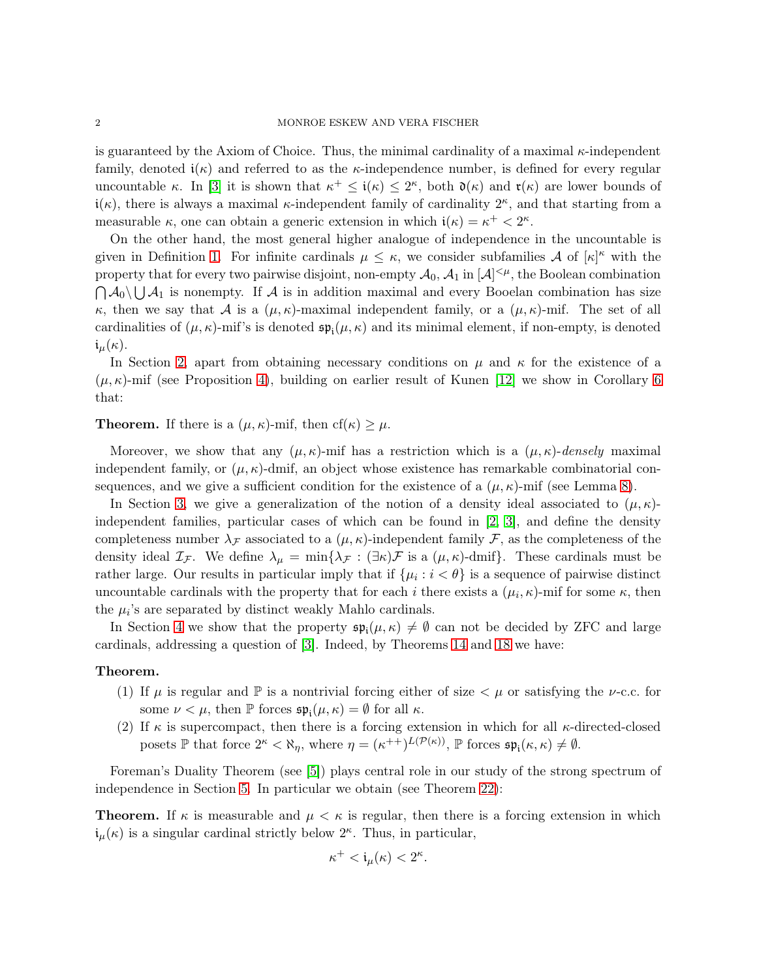is guaranteed by the Axiom of Choice. Thus, the minimal cardinality of a maximal  $\kappa$ -independent family, denoted  $i(\kappa)$  and referred to as the  $\kappa$ -independence number, is defined for every regular uncountable κ. In [\[3\]](#page-19-0) it is shown that  $\kappa^+ \leq i(\kappa) \leq 2^{\kappa}$ , both  $\mathfrak{d}(\kappa)$  and  $\mathfrak{r}(\kappa)$  are lower bounds of  $i(\kappa)$ , there is always a maximal  $\kappa$ -independent family of cardinality  $2^{\kappa}$ , and that starting from a measurable  $\kappa$ , one can obtain a generic extension in which  $i(\kappa) = \kappa^+ < 2^{\kappa}$ .

On the other hand, the most general higher analogue of independence in the uncountable is given in Definition [1.](#page-2-0) For infinite cardinals  $\mu \leq \kappa$ , we consider subfamilies A of  $[\kappa]^{\kappa}$  with the property that for every two pairwise disjoint, non-empty  $\mathcal{A}_0$ ,  $\mathcal{A}_1$  in  $[\mathcal{A}]^{<\mu}$ , the Boolean combination  $\bigcap A_0 \setminus \bigcup A_1$  is nonempty. If A is in addition maximal and every Booelan combination has size κ, then we say that A is a  $(\mu, \kappa)$ -maximal independent family, or a  $(\mu, \kappa)$ -mif. The set of all cardinalities of  $(\mu, \kappa)$ -mif's is denoted  $\mathfrak{sp}_{i}(\mu, \kappa)$  and its minimal element, if non-empty, is denoted  $i_{\mu}(\kappa).$ 

In Section [2,](#page-2-1) apart from obtaining necessary conditions on  $\mu$  and  $\kappa$  for the existence of a  $(\mu, \kappa)$ -mif (see Proposition [4\)](#page-3-0), building on earlier result of Kunen [\[12\]](#page-20-0) we show in Corollary [6](#page-4-0) that:

**Theorem.** If there is a  $(\mu, \kappa)$ -mif, then  $cf(\kappa) \geq \mu$ .

Moreover, we show that any  $(\mu, \kappa)$ -mif has a restriction which is a  $(\mu, \kappa)$ -densely maximal independent family, or  $(\mu, \kappa)$ -dmif, an object whose existence has remarkable combinatorial consequences, and we give a sufficient condition for the existence of a  $(\mu, \kappa)$ -mif (see Lemma [8\)](#page-4-1).

In Section [3,](#page-4-2) we give a generalization of the notion of a density ideal associated to  $(\mu, \kappa)$ independent families, particular cases of which can be found in [\[2,](#page-19-1) [3\]](#page-19-0), and define the density completeness number  $\lambda_{\mathcal{F}}$  associated to a  $(\mu, \kappa)$ -independent family  $\mathcal{F}$ , as the completeness of the density ideal  $\mathcal{I}_{\mathcal{F}}$ . We define  $\lambda_{\mu} = \min\{\lambda_{\mathcal{F}} : (\exists \kappa)\mathcal{F}$  is a  $(\mu, \kappa)$ -dmif}. These cardinals must be rather large. Our results in particular imply that if  $\{\mu_i : i < \theta\}$  is a sequence of pairwise distinct uncountable cardinals with the property that for each i there exists a  $(\mu_i, \kappa)$ -mif for some  $\kappa$ , then the  $\mu_i$ 's are separated by distinct weakly Mahlo cardinals.

In Section [4](#page-6-0) we show that the property  $\mathfrak{sp}_{i}(\mu,\kappa) \neq \emptyset$  can not be decided by ZFC and large cardinals, addressing a question of [\[3\]](#page-19-0). Indeed, by Theorems [14](#page-7-0) and [18](#page-9-0) we have:

#### Theorem.

- (1) If  $\mu$  is regular and  $\mathbb P$  is a nontrivial forcing either of size  $\lt \mu$  or satisfying the  $\nu$ -c.c. for some  $\nu < \mu$ , then  $\mathbb P$  forces  $\mathfrak{sp}_{\mathfrak i}(\mu,\kappa) = \emptyset$  for all  $\kappa$ .
- (2) If  $\kappa$  is supercompact, then there is a forcing extension in which for all  $\kappa$ -directed-closed posets  $\mathbb P$  that force  $2^{\kappa} < \aleph_{\eta}$ , where  $\eta = (\kappa^{++})^{L(\mathcal P(\kappa))}$ ,  $\mathbb P$  forces  $\mathfrak{sp}_{\mathfrak i}(\kappa, \kappa) \neq \emptyset$ .

Foreman's Duality Theorem (see [\[5\]](#page-19-2)) plays central role in our study of the strong spectrum of independence in Section [5.](#page-10-0) In particular we obtain (see Theorem [22\)](#page-11-0):

**Theorem.** If  $\kappa$  is measurable and  $\mu < \kappa$  is regular, then there is a forcing extension in which  $i_{\mu}(\kappa)$  is a singular cardinal strictly below  $2^{\kappa}$ . Thus, in particular,

$$
\kappa^+ < \mathfrak{i}_\mu(\kappa) < 2^\kappa.
$$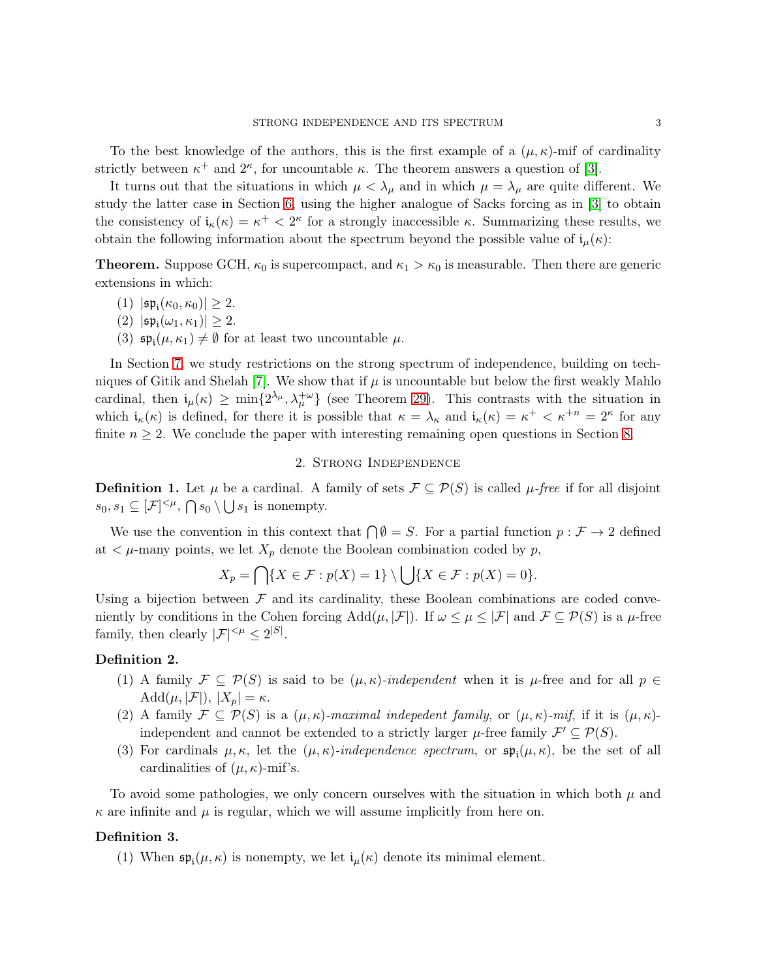To the best knowledge of the authors, this is the first example of a  $(\mu, \kappa)$ -mif of cardinality strictly between  $\kappa^+$  and  $2^{\kappa}$ , for uncountable  $\kappa$ . The theorem answers a question of [\[3\]](#page-19-0).

It turns out that the situations in which  $\mu < \lambda_{\mu}$  and in which  $\mu = \lambda_{\mu}$  are quite different. We study the latter case in Section [6,](#page-13-0) using the higher analogue of Sacks forcing as in [\[3\]](#page-19-0) to obtain the consistency of  $\mathfrak{i}_{\kappa}(\kappa) = \kappa^+ < 2^{\kappa}$  for a strongly inaccessible  $\kappa$ . Summarizing these results, we obtain the following information about the spectrum beyond the possible value of  $i_{\mu}(\kappa)$ :

**Theorem.** Suppose GCH,  $\kappa_0$  is supercompact, and  $\kappa_1 > \kappa_0$  is measurable. Then there are generic extensions in which:

- (1)  $|\mathfrak{sp}_{\mathfrak i}(\kappa_0,\kappa_0)| \geq 2.$
- (2)  $|\mathfrak{sp}_{\mathfrak i}(\omega_1,\kappa_1)|\geq 2.$
- (3)  $\mathfrak{sp}_{i}(\mu,\kappa_1) \neq \emptyset$  for at least two uncountable  $\mu$ .

In Section [7,](#page-15-0) we study restrictions on the strong spectrum of independence, building on tech-niques of Gitik and Shelah [\[7\]](#page-19-3). We show that if  $\mu$  is uncountable but below the first weakly Mahlo cardinal, then  $i_{\mu}(\kappa) \ge \min\{2^{\lambda_{\mu}}, \lambda_{\mu}^{+\omega}\}\$  (see Theorem [29\)](#page-15-1). This contrasts with the situation in which  $i_{\kappa}(\kappa)$  is defined, for there it is possible that  $\kappa = \lambda_{\kappa}$  and  $i_{\kappa}(\kappa) = \kappa^+ < \kappa^{+n} = 2^{\kappa}$  for any finite  $n \geq 2$ . We conclude the paper with interesting remaining open questions in Section [8.](#page-19-4)

## 2. Strong Independence

<span id="page-2-1"></span><span id="page-2-0"></span>**Definition 1.** Let  $\mu$  be a cardinal. A family of sets  $\mathcal{F} \subseteq \mathcal{P}(S)$  is called  $\mu$ -free if for all disjoint  $s_0, s_1 \subseteq [\mathcal{F}]^{<\mu}, \bigcap s_0 \setminus \bigcup s_1$  is nonempty.

We use the convention in this context that  $\bigcap \emptyset = S$ . For a partial function  $p : \mathcal{F} \to 2$  defined at  $\lt \mu$ -many points, we let  $X_p$  denote the Boolean combination coded by p,

$$
X_p = \bigcap \{ X \in \mathcal{F} : p(X) = 1 \} \setminus \bigcup \{ X \in \mathcal{F} : p(X) = 0 \}.
$$

Using a bijection between  $\mathcal F$  and its cardinality, these Boolean combinations are coded conveniently by conditions in the Cohen forcing  $Add(\mu, |\mathcal{F}|)$ . If  $\omega \leq \mu \leq |\mathcal{F}|$  and  $\mathcal{F} \subseteq \mathcal{P}(S)$  is a  $\mu$ -free family, then clearly  $|\mathcal{F}|^{<\mu} \leq 2^{|S|}$ .

## Definition 2.

- (1) A family  $\mathcal{F} \subseteq \mathcal{P}(S)$  is said to be  $(\mu, \kappa)$ -independent when it is  $\mu$ -free and for all  $p \in$  $\text{Add}(\mu, |\mathcal{F}|), |X_p| = \kappa.$
- (2) A family  $\mathcal{F} \subseteq \mathcal{P}(S)$  is a  $(\mu, \kappa)$ -maximal indepedent family, or  $(\mu, \kappa)$ -mif, if it is  $(\mu, \kappa)$ independent and cannot be extended to a strictly larger  $\mu$ -free family  $\mathcal{F}' \subseteq \mathcal{P}(S)$ .
- (3) For cardinals  $\mu, \kappa$ , let the  $(\mu, \kappa)$ -independence spectrum, or  $\mathfrak{sp}_{i}(\mu, \kappa)$ , be the set of all cardinalities of  $(\mu, \kappa)$ -mif's.

To avoid some pathologies, we only concern ourselves with the situation in which both  $\mu$  and  $\kappa$  are infinite and  $\mu$  is regular, which we will assume implicitly from here on.

#### Definition 3.

(1) When  $\mathfrak{sp}_{i}(\mu,\kappa)$  is nonempty, we let  $i_{\mu}(\kappa)$  denote its minimal element.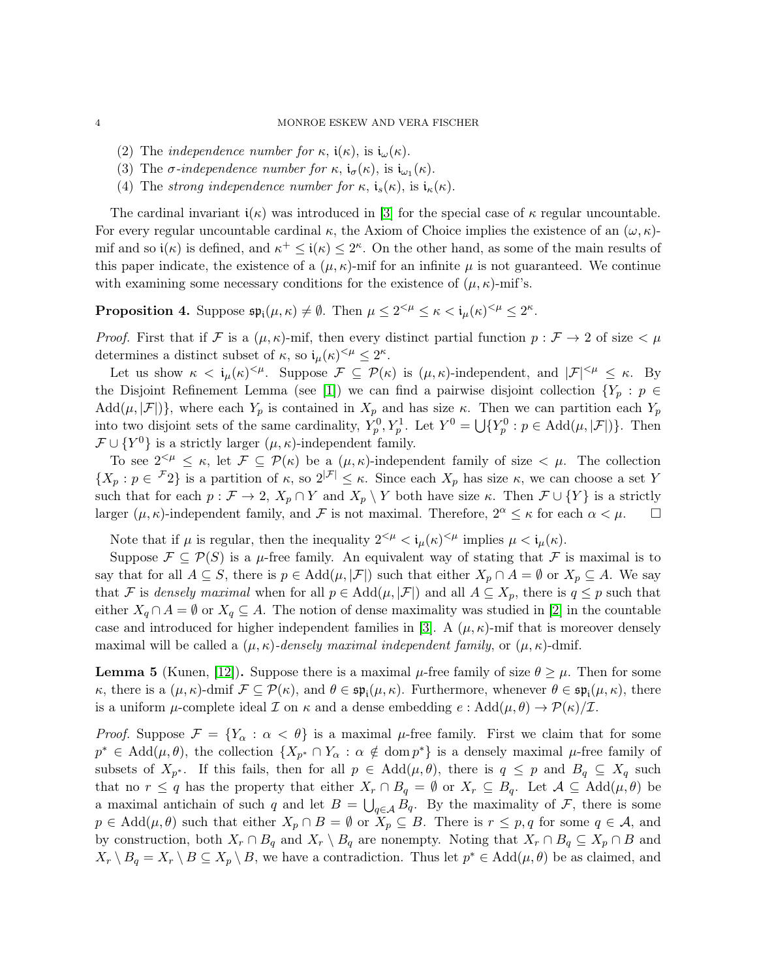- (2) The *independence number for*  $\kappa$ ,  $\mathfrak{i}(\kappa)$ , is  $\mathfrak{i}_{\omega}(\kappa)$ .
- (3) The  $\sigma$ -independence number for  $\kappa$ ,  $\mathfrak{i}_{\sigma}(\kappa)$ , is  $\mathfrak{i}_{\omega_1}(\kappa)$ .
- (4) The strong independence number for  $\kappa$ ,  $\mathfrak{i}_{s}(\kappa)$ , is  $\mathfrak{i}_{\kappa}(\kappa)$ .

The cardinal invariant  $i(\kappa)$  was introduced in [\[3\]](#page-19-0) for the special case of  $\kappa$  regular uncountable. For every regular uncountable cardinal  $\kappa$ , the Axiom of Choice implies the existence of an  $(\omega, \kappa)$ mif and so  $\mathfrak{i}(\kappa)$  is defined, and  $\kappa^+ \leq \mathfrak{i}(\kappa) \leq 2^{\kappa}$ . On the other hand, as some of the main results of this paper indicate, the existence of a  $(\mu, \kappa)$ -mif for an infinite  $\mu$  is not guaranteed. We continue with examining some necessary conditions for the existence of  $(\mu, \kappa)$ -mif's.

<span id="page-3-0"></span>Proposition 4. Suppose  $\mathfrak{sp}_{i}(\mu,\kappa) \neq \emptyset$ . Then  $\mu \leq 2^{<\mu} \leq \kappa < i_{\mu}(\kappa)^{<\mu} \leq 2^{\kappa}$ .

*Proof.* First that if F is a  $(\mu, \kappa)$ -mif, then every distinct partial function  $p : \mathcal{F} \to 2$  of size  $\lt \mu$ determines a distinct subset of  $\kappa$ , so  $i_{\mu}(\kappa)^{<\mu} \leq 2^{\kappa}$ .

Let us show  $\kappa < \mathfrak{i}_{\mu}(\kappa)^{<\mu}$ . Suppose  $\mathcal{F} \subseteq \mathcal{P}(\kappa)$  is  $(\mu, \kappa)$ -independent, and  $|\mathcal{F}|^{<\mu} \leq \kappa$ . By the Disjoint Refinement Lemma (see [\[1\]](#page-19-5)) we can find a pairwise disjoint collection  $\{Y_p : p \in$  $Add(\mu, |\mathcal{F}|)$ , where each  $Y_p$  is contained in  $X_p$  and has size  $\kappa$ . Then we can partition each  $Y_p$ into two disjoint sets of the same cardinality,  $Y_p^0, Y_p^1$ . Let  $Y^0 = \bigcup \{ Y_p^0 : p \in \text{Add}(\mu, |\mathcal{F}|) \}.$  Then  $\mathcal{F} \cup \{Y^0\}$  is a strictly larger  $(\mu, \kappa)$ -independent family.

To see  $2^{<\mu} \leq \kappa$ , let  $\mathcal{F} \subseteq \mathcal{P}(\kappa)$  be a  $(\mu, \kappa)$ -independent family of size  $<\mu$ . The collection  $\{X_p : p \in \mathcal{F}_2\}$  is a partition of  $\kappa$ , so  $2^{|\mathcal{F}|} \leq \kappa$ . Since each  $X_p$  has size  $\kappa$ , we can choose a set Y such that for each  $p : \mathcal{F} \to 2$ ,  $X_p \cap Y$  and  $X_p \setminus Y$  both have size  $\kappa$ . Then  $\mathcal{F} \cup \{Y\}$  is a strictly larger  $(\mu, \kappa)$ -independent family, and F is not maximal. Therefore,  $2^{\alpha} \leq \kappa$  for each  $\alpha < \mu$ .  $\Box$ 

Note that if  $\mu$  is regular, then the inequality  $2^{<\mu} < i_{\mu}(\kappa)^{<\mu}$  implies  $\mu < i_{\mu}(\kappa)$ .

Suppose  $\mathcal{F} \subseteq \mathcal{P}(S)$  is a  $\mu$ -free family. An equivalent way of stating that  $\mathcal{F}$  is maximal is to say that for all  $A \subseteq S$ , there is  $p \in \text{Add}(\mu, |\mathcal{F}|)$  such that either  $X_p \cap A = \emptyset$  or  $X_p \subseteq A$ . We say that F is densely maximal when for all  $p \in \text{Add}(\mu, |\mathcal{F}|)$  and all  $A \subseteq X_p$ , there is  $q \leq p$  such that either  $X_q \cap A = \emptyset$  or  $X_q \subseteq A$ . The notion of dense maximality was studied in [\[2\]](#page-19-1) in the countable case and introduced for higher independent families in [\[3\]](#page-19-0). A  $(\mu, \kappa)$ -mif that is moreover densely maximal will be called a  $(\mu, \kappa)$ -densely maximal independent family, or  $(\mu, \kappa)$ -dmif.

<span id="page-3-1"></span>**Lemma 5** (Kunen, [\[12\]](#page-20-0)). Suppose there is a maximal  $\mu$ -free family of size  $\theta \geq \mu$ . Then for some  $κ$ , there is a (μ, κ)-dmif  $\mathcal{F} \subseteq \mathcal{P}(\kappa)$ , and  $\theta \in \mathfrak{sp}_{i}(\mu, \kappa)$ . Furthermore, whenever  $\theta \in \mathfrak{sp}_{i}(\mu, \kappa)$ , there is a uniform  $\mu$ -complete ideal  $\mathcal I$  on  $\kappa$  and a dense embedding  $e : \text{Add}(\mu, \theta) \to \mathcal P(\kappa)/\mathcal I$ .

*Proof.* Suppose  $\mathcal{F} = \{Y_\alpha : \alpha < \theta\}$  is a maximal  $\mu$ -free family. First we claim that for some  $p^* \in \text{Add}(\mu,\theta)$ , the collection  $\{X_{p^*} \cap Y_\alpha : \alpha \notin \text{dom } p^*\}$  is a densely maximal  $\mu$ -free family of subsets of  $X_{p^*}$ . If this fails, then for all  $p \in \text{Add}(\mu, \theta)$ , there is  $q \leq p$  and  $B_q \subseteq X_q$  such that no  $r \leq q$  has the property that either  $X_r \cap B_q = \emptyset$  or  $X_r \subseteq B_q$ . Let  $\mathcal{A} \subseteq \text{Add}(\mu, \theta)$  be a maximal antichain of such q and let  $B = \bigcup_{q \in A} B_q$ . By the maximality of F, there is some  $p \in \text{Add}(\mu,\theta)$  such that either  $X_p \cap B = \emptyset$  or  $X_p \subseteq B$ . There is  $r \leq p, q$  for some  $q \in \mathcal{A}$ , and by construction, both  $X_r \cap B_q$  and  $X_r \setminus B_q$  are nonempty. Noting that  $X_r \cap B_q \subseteq X_p \cap B$  and  $X_r \setminus B_q = X_r \setminus B \subseteq X_p \setminus B$ , we have a contradiction. Thus let  $p^* \in \text{Add}(\mu, \theta)$  be as claimed, and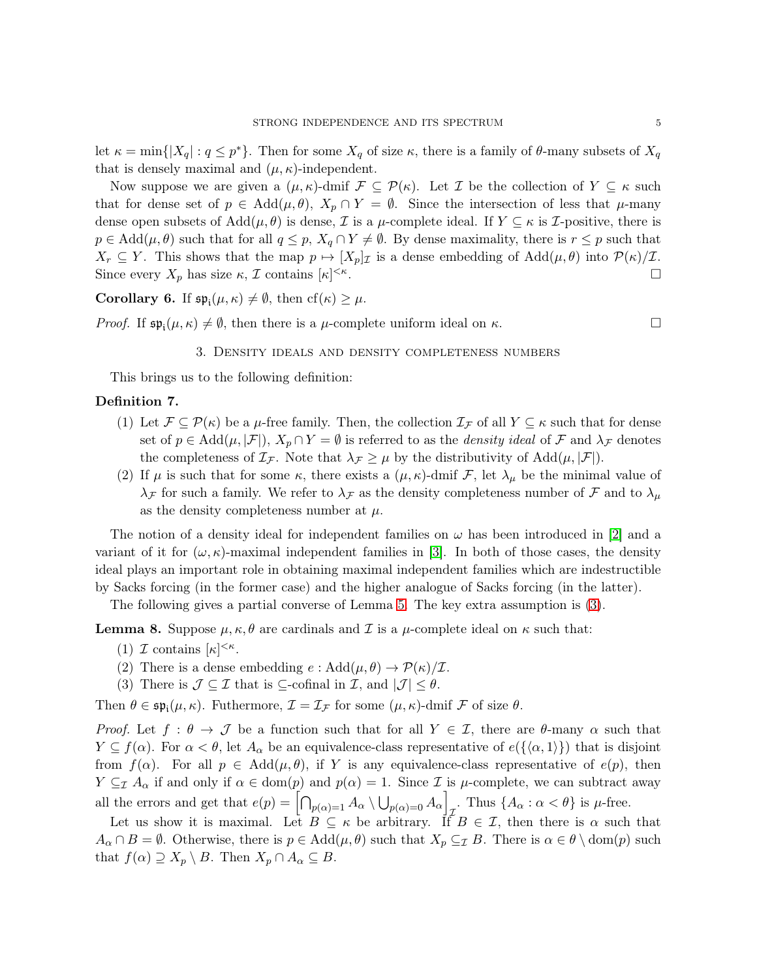let  $\kappa = \min\{|X_q| : q \leq p^*\}.$  Then for some  $X_q$  of size  $\kappa$ , there is a family of  $\theta$ -many subsets of  $X_q$ that is densely maximal and  $(\mu, \kappa)$ -independent.

Now suppose we are given a  $(\mu, \kappa)$ -dmif  $\mathcal{F} \subseteq \mathcal{P}(\kappa)$ . Let  $\mathcal{I}$  be the collection of  $Y \subseteq \kappa$  such that for dense set of  $p \in \text{Add}(\mu, \theta), X_p \cap Y = \emptyset$ . Since the intersection of less that  $\mu$ -many dense open subsets of  $Add(\mu, \theta)$  is dense,  $\mathcal I$  is a  $\mu$ -complete ideal. If  $Y \subseteq \kappa$  is  $\mathcal I$ -positive, there is  $p \in \text{Add}(\mu, \theta)$  such that for all  $q \leq p$ ,  $X_q \cap Y \neq \emptyset$ . By dense maximality, there is  $r \leq p$  such that  $X_r \subseteq Y$ . This shows that the map  $p \mapsto [X_p]_{\mathcal{I}}$  is a dense embedding of  $\text{Add}(\mu, \theta)$  into  $\mathcal{P}(\kappa)/\mathcal{I}$ . Since every  $X_p$  has size  $\kappa$ ,  $\mathcal I$  contains  $[\kappa]^{<\kappa}$ .

<span id="page-4-0"></span>**Corollary 6.** If  $\mathfrak{sp}_{i}(\mu,\kappa) \neq \emptyset$ , then  $cf(\kappa) \geq \mu$ .

<span id="page-4-2"></span>*Proof.* If  $\mathfrak{sp}_{i}(\mu,\kappa) \neq \emptyset$ , then there is a  $\mu$ -complete uniform ideal on  $\kappa$ .

## 3. Density ideals and density completeness numbers

This brings us to the following definition:

## Definition 7.

- (1) Let  $\mathcal{F} \subseteq \mathcal{P}(\kappa)$  be a  $\mu$ -free family. Then, the collection  $\mathcal{I}_{\mathcal{F}}$  of all  $Y \subseteq \kappa$  such that for dense set of  $p \in \text{Add}(\mu, |\mathcal{F}|), X_p \cap Y = \emptyset$  is referred to as the *density ideal* of F and  $\lambda_{\mathcal{F}}$  denotes the completeness of  $\mathcal{I}_{\mathcal{F}}$ . Note that  $\lambda_{\mathcal{F}} \geq \mu$  by the distributivity of Add $(\mu, |\mathcal{F}|)$ .
- (2) If  $\mu$  is such that for some  $\kappa$ , there exists a  $(\mu, \kappa)$ -dmif  $\mathcal{F}$ , let  $\lambda_{\mu}$  be the minimal value of  $\lambda_{\mathcal{F}}$  for such a family. We refer to  $\lambda_{\mathcal{F}}$  as the density completeness number of  $\mathcal{F}$  and to  $\lambda_{\mu}$ as the density completeness number at  $\mu$ .

The notion of a density ideal for independent families on  $\omega$  has been introduced in [\[2\]](#page-19-1) and a variant of it for  $(\omega, \kappa)$ -maximal independent families in [\[3\]](#page-19-0). In both of those cases, the density ideal plays an important role in obtaining maximal independent families which are indestructible by Sacks forcing (in the former case) and the higher analogue of Sacks forcing (in the latter).

The following gives a partial converse of Lemma [5.](#page-3-1) The key extra assumption is [\(3\)](#page-4-3).

<span id="page-4-1"></span>**Lemma 8.** Suppose  $\mu, \kappa, \theta$  are cardinals and  $\mathcal{I}$  is a  $\mu$ -complete ideal on  $\kappa$  such that:

- (1)  $\mathcal I$  contains  $[\kappa]^{<\kappa}$ .
- <span id="page-4-3"></span>(2) There is a dense embedding  $e : \text{Add}(\mu, \theta) \to \mathcal{P}(\kappa)/\mathcal{I}.$
- (3) There is  $\mathcal{J} \subseteq \mathcal{I}$  that is  $\subseteq$ -cofinal in  $\mathcal{I}$ , and  $|\mathcal{J}| \leq \theta$ .

Then  $\theta \in \mathfrak{sp}_{\mathfrak i}(\mu,\kappa)$ . Futhermore,  $\mathcal{I} = \mathcal{I}_{\mathcal{F}}$  for some  $(\mu,\kappa)$ -dmif  $\mathcal F$  of size  $\theta$ .

*Proof.* Let  $f : \theta \to \mathcal{J}$  be a function such that for all  $Y \in \mathcal{I}$ , there are  $\theta$ -many  $\alpha$  such that  $Y \subseteq f(\alpha)$ . For  $\alpha < \theta$ , let  $A_{\alpha}$  be an equivalence-class representative of  $e({\alpha, 1})$  that is disjoint from  $f(\alpha)$ . For all  $p \in \text{Add}(\mu, \theta)$ , if Y is any equivalence-class representative of  $e(p)$ , then  $Y \subseteq_{\mathcal{I}} A_{\alpha}$  if and only if  $\alpha \in \text{dom}(p)$  and  $p(\alpha) = 1$ . Since  $\mathcal{I}$  is  $\mu$ -complete, we can subtract away all the errors and get that  $e(p) = \left[\bigcap_{p(\alpha)=1} A_{\alpha} \setminus \bigcup_{p(\alpha)=0} A_{\alpha}\right]_{\tau}$ . Thus  $\{A_{\alpha} : \alpha < \theta\}$  is  $\mu$ -free.

Let us show it is maximal. Let  $B \subseteq \kappa$  be arbitrary. If  $B \in \mathcal{I}$ , then there is  $\alpha$  such that  $A_{\alpha} \cap B = \emptyset$ . Otherwise, there is  $p \in \text{Add}(\mu, \theta)$  such that  $X_p \subseteq_{\mathcal{I}} B$ . There is  $\alpha \in \theta \setminus \text{dom}(p)$  such that  $f(\alpha) \supseteq X_p \setminus B$ . Then  $X_p \cap A_\alpha \subseteq B$ .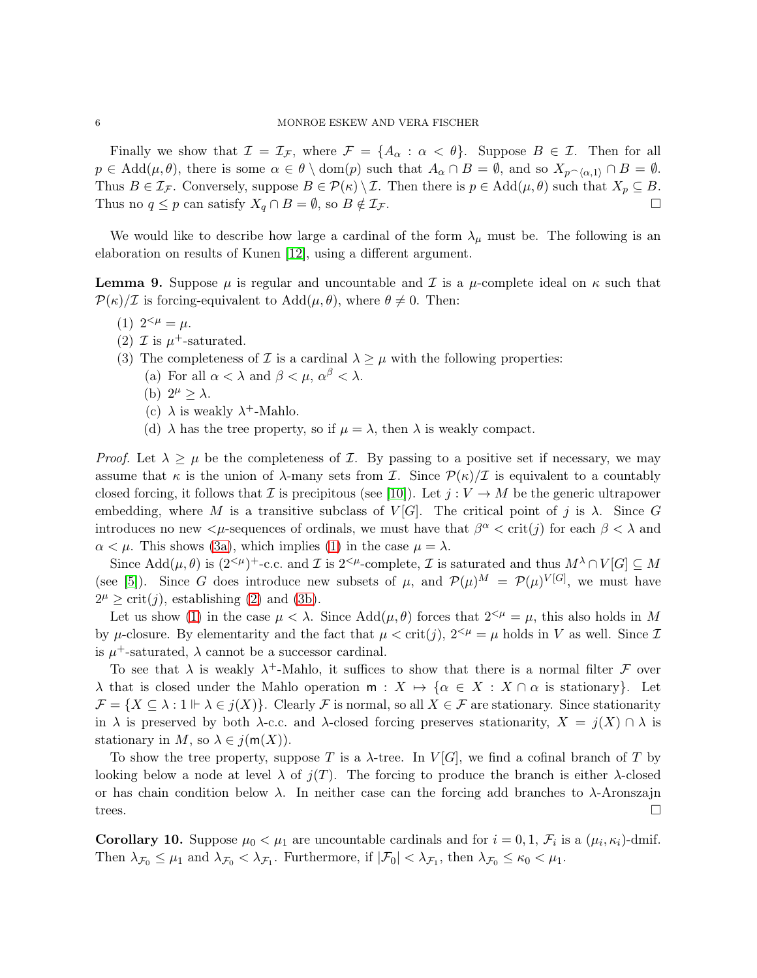Finally we show that  $\mathcal{I} = \mathcal{I}_{\mathcal{F}}$ , where  $\mathcal{F} = \{A_{\alpha} : \alpha < \theta\}$ . Suppose  $B \in \mathcal{I}$ . Then for all  $p \in \text{Add}(\mu, \theta)$ , there is some  $\alpha \in \theta \setminus \text{dom}(p)$  such that  $A_{\alpha} \cap B = \emptyset$ , and so  $X_{p\alpha}(A) \cap B = \emptyset$ . Thus  $B \in \mathcal{I}_{\mathcal{F}}$ . Conversely, suppose  $B \in \mathcal{P}(\kappa) \setminus \mathcal{I}$ . Then there is  $p \in \text{Add}(\mu, \theta)$  such that  $X_p \subseteq B$ . Thus no  $q \leq p$  can satisfy  $X_q \cap B = \emptyset$ , so  $B \notin \mathcal{I}_{\mathcal{F}}$ .

We would like to describe how large a cardinal of the form  $\lambda_{\mu}$  must be. The following is an elaboration on results of Kunen [\[12\]](#page-20-0), using a different argument.

<span id="page-5-4"></span><span id="page-5-1"></span>**Lemma 9.** Suppose  $\mu$  is regular and uncountable and  $\mathcal I$  is a  $\mu$ -complete ideal on  $\kappa$  such that  $\mathcal{P}(\kappa)/\mathcal{I}$  is forcing-equivalent to  $\text{Add}(\mu,\theta)$ , where  $\theta \neq 0$ . Then:

- <span id="page-5-2"></span>(1)  $2^{<\mu} = \mu$ .
- (2)  $\mathcal{I}$  is  $\mu^+$ -saturated.
- <span id="page-5-3"></span><span id="page-5-0"></span>(3) The completeness of  $\mathcal I$  is a cardinal  $\lambda \geq \mu$  with the following properties:
	- (a) For all  $\alpha < \lambda$  and  $\beta < \mu$ ,  $\alpha^{\beta} < \lambda$ .
	- (b)  $2^{\mu} \geq \lambda$ .
	- (c)  $\lambda$  is weakly  $\lambda^+$ -Mahlo.
	- (d)  $\lambda$  has the tree property, so if  $\mu = \lambda$ , then  $\lambda$  is weakly compact.

*Proof.* Let  $\lambda \geq \mu$  be the completeness of Z. By passing to a positive set if necessary, we may assume that  $\kappa$  is the union of  $\lambda$ -many sets from  $\mathcal{I}$ . Since  $\mathcal{P}(\kappa)/\mathcal{I}$  is equivalent to a countably closed forcing, it follows that I is precipitous (see [\[10\]](#page-20-1)). Let  $j: V \to M$  be the generic ultrapower embedding, where M is a transitive subclass of  $V[G]$ . The critical point of j is  $\lambda$ . Since G introduces no new  $\lt \mu$ -sequences of ordinals, we must have that  $\beta^{\alpha} < \text{crit}(j)$  for each  $\beta < \lambda$  and  $\alpha < \mu$ . This shows [\(3a\)](#page-5-0), which implies [\(1\)](#page-5-1) in the case  $\mu = \lambda$ .

Since  $\text{Add}(\mu,\theta)$  is  $(2^{<\mu})^+$ -c.c. and  $\mathcal I$  is  $2^{<\mu}$ -complete,  $\mathcal I$  is saturated and thus  $M^{\lambda}\cap V[G]\subseteq M$ (see [\[5\]](#page-19-2)). Since G does introduce new subsets of  $\mu$ , and  $\mathcal{P}(\mu)^M = \mathcal{P}(\mu)^{V[G]}$ , we must have  $2^{\mu} \geq \text{crit}(j)$ , establishing [\(2\)](#page-5-2) and [\(3b\)](#page-5-3).

Let us show [\(1\)](#page-5-1) in the case  $\mu < \lambda$ . Since  $Add(\mu, \theta)$  forces that  $2^{<\mu} = \mu$ , this also holds in M by  $\mu$ -closure. By elementarity and the fact that  $\mu < \text{crit}(j)$ ,  $2^{< \mu} = \mu$  holds in V as well. Since  $\mathcal I$ is  $\mu^+$ -saturated,  $\lambda$  cannot be a successor cardinal.

To see that  $\lambda$  is weakly  $\lambda^+$ -Mahlo, it suffices to show that there is a normal filter F over  $\lambda$  that is closed under the Mahlo operation  $m : X \mapsto {\alpha \in X : X \cap \alpha}$  is stationary.  $\mathcal{F} = \{X \subseteq \lambda : 1 \vdash \lambda \in j(X)\}.$  Clearly  $\mathcal{F}$  is normal, so all  $X \in \mathcal{F}$  are stationary. Since stationarity in  $\lambda$  is preserved by both  $\lambda$ -c.c. and  $\lambda$ -closed forcing preserves stationarity,  $X = j(X) \cap \lambda$  is stationary in M, so  $\lambda \in j(m(X))$ .

To show the tree property, suppose T is a  $\lambda$ -tree. In  $V[G]$ , we find a cofinal branch of T by looking below a node at level  $\lambda$  of  $j(T)$ . The forcing to produce the branch is either  $\lambda$ -closed or has chain condition below  $\lambda$ . In neither case can the forcing add branches to  $\lambda$ -Aronszajn trees.

<span id="page-5-5"></span>**Corollary 10.** Suppose  $\mu_0 < \mu_1$  are uncountable cardinals and for  $i = 0, 1, \mathcal{F}_i$  is a  $(\mu_i, \kappa_i)$ -dmif. Then  $\lambda_{\mathcal{F}_0} \leq \mu_1$  and  $\lambda_{\mathcal{F}_0} < \lambda_{\mathcal{F}_1}$ . Furthermore, if  $|\mathcal{F}_0| < \lambda_{\mathcal{F}_1}$ , then  $\lambda_{\mathcal{F}_0} \leq \kappa_0 < \mu_1$ .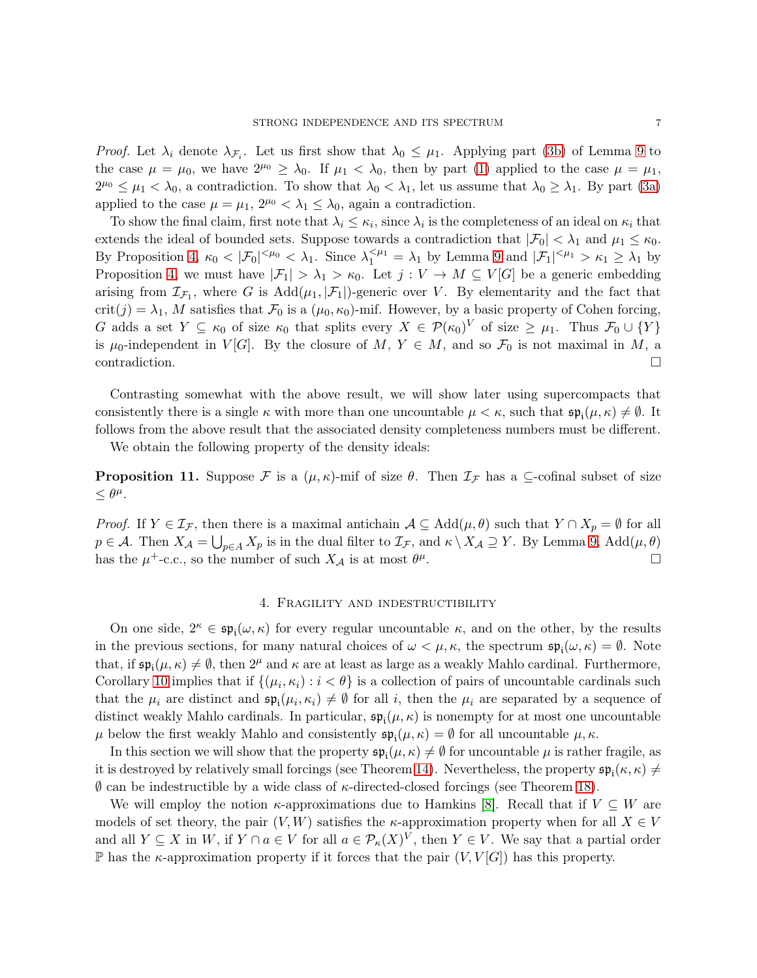*Proof.* Let  $\lambda_i$  denote  $\lambda_{\mathcal{F}_i}$ . Let us first show that  $\lambda_0 \leq \mu_1$ . Applying part [\(3b\)](#page-5-3) of Lemma [9](#page-5-4) to the case  $\mu = \mu_0$ , we have  $2^{\mu_0} \ge \lambda_0$ . If  $\mu_1 < \lambda_0$ , then by part [\(1\)](#page-5-1) applied to the case  $\mu = \mu_1$ ,  $2^{\mu_0} \leq \mu_1 < \lambda_0$ , a contradiction. To show that  $\lambda_0 < \lambda_1$ , let us assume that  $\lambda_0 \geq \lambda_1$ . By part [\(3a\)](#page-5-0) applied to the case  $\mu = \mu_1$ ,  $2^{\mu_0} < \lambda_1 \leq \lambda_0$ , again a contradiction.

To show the final claim, first note that  $\lambda_i \leq \kappa_i$ , since  $\lambda_i$  is the completeness of an ideal on  $\kappa_i$  that extends the ideal of bounded sets. Suppose towards a contradiction that  $|\mathcal{F}_0| < \lambda_1$  and  $\mu_1 \leq \kappa_0$ . By Proposition [4,](#page-3-0)  $\kappa_0 < |\mathcal{F}_0|^{<\mu_0} < \lambda_1$ . Since  $\lambda_1^{<\mu_1} = \lambda_1$  by Lemma [9](#page-5-4) and  $|\mathcal{F}_1|^{<\mu_1} > \kappa_1 \ge \lambda_1$  by Proposition [4,](#page-3-0) we must have  $|\mathcal{F}_1| > \lambda_1 > \kappa_0$ . Let  $j: V \to M \subseteq V[G]$  be a generic embedding arising from  $\mathcal{I}_{\mathcal{F}_1}$ , where G is  $Add(\mu_1, |\mathcal{F}_1|)$ -generic over V. By elementarity and the fact that  $\text{crit}(j) = \lambda_1$ , M satisfies that  $\mathcal{F}_0$  is a  $(\mu_0, \kappa_0)$ -mif. However, by a basic property of Cohen forcing, G adds a set  $Y \subseteq \kappa_0$  of size  $\kappa_0$  that splits every  $X \in \mathcal{P}(\kappa_0)^V$  of size  $\geq \mu_1$ . Thus  $\mathcal{F}_0 \cup \{Y\}$ is  $\mu_0$ -independent in  $V[G]$ . By the closure of  $M, Y \in M$ , and so  $\mathcal{F}_0$  is not maximal in  $M$ , a contradiction.

Contrasting somewhat with the above result, we will show later using supercompacts that consistently there is a single  $\kappa$  with more than one uncountable  $\mu < \kappa$ , such that  $\mathfrak{sp}_{i}(\mu,\kappa) \neq \emptyset$ . It follows from the above result that the associated density completeness numbers must be different.

We obtain the following property of the density ideals:

**Proposition 11.** Suppose F is a  $(\mu, \kappa)$ -mif of size  $\theta$ . Then  $\mathcal{I}_{\mathcal{F}}$  has a  $\subseteq$ -cofinal subset of size  $\leq \theta^{\mu}$ .

*Proof.* If  $Y \in \mathcal{I}_{\mathcal{F}}$ , then there is a maximal antichain  $\mathcal{A} \subseteq \text{Add}(\mu, \theta)$  such that  $Y \cap X_p = \emptyset$  for all  $p \in \mathcal{A}$ . Then  $X_{\mathcal{A}} = \bigcup_{p \in A} X_p$  is in the dual filter to  $\mathcal{I}_{\mathcal{F}}$ , and  $\kappa \setminus X_{\mathcal{A}} \supseteq Y$ . By Lemma [9,](#page-5-4) Add $(\mu, \theta)$ has the  $\mu^+$ -c.c., so the number of such  $X_{\mathcal{A}}$  is at most  $\theta^{\mu}$ .

## 4. Fragility and indestructibility

<span id="page-6-0"></span>On one side,  $2^{\kappa} \in \mathfrak{sp}_{i}(\omega,\kappa)$  for every regular uncountable  $\kappa$ , and on the other, by the results in the previous sections, for many natural choices of  $\omega < \mu, \kappa$ , the spectrum  $\mathfrak{sp}_{i}(\omega, \kappa) = \emptyset$ . Note that, if  $\mathfrak{sp}_{i}(\mu,\kappa) \neq \emptyset$ , then  $2^{\mu}$  and  $\kappa$  are at least as large as a weakly Mahlo cardinal. Furthermore, Corollary [10](#page-5-5) implies that if  $\{(\mu_i, \kappa_i) : i < \theta\}$  is a collection of pairs of uncountable cardinals such that the  $\mu_i$  are distinct and  $\mathfrak{sp}_i(\mu_i, \kappa_i) \neq \emptyset$  for all i, then the  $\mu_i$  are separated by a sequence of distinct weakly Mahlo cardinals. In particular,  $\mathfrak{sp}_{i}(\mu,\kappa)$  is nonempty for at most one uncountable  $\mu$  below the first weakly Mahlo and consistently  $\mathfrak{sp}_{i}(\mu,\kappa) = \emptyset$  for all uncountable  $\mu, \kappa$ .

In this section we will show that the property  $\mathfrak{sp}_{i}(\mu,\kappa) \neq \emptyset$  for uncountable  $\mu$  is rather fragile, as it is destroyed by relatively small forcings (see Theorem [14\)](#page-7-0). Nevertheless, the property  $\mathfrak{sp}_{i}(\kappa,\kappa) \neq$  $\emptyset$  can be indestructible by a wide class of  $\kappa$ -directed-closed forcings (see Theorem [18\)](#page-9-0).

We will employ the notion  $\kappa$ -approximations due to Hamkins [\[8\]](#page-20-2). Recall that if  $V \subseteq W$  are models of set theory, the pair  $(V, W)$  satisfies the *κ*-approximation property when for all  $X \in V$ and all  $Y \subseteq X$  in  $W$ , if  $Y \cap a \in V$  for all  $a \in \mathcal{P}_\kappa(X)^V$ , then  $Y \in V$ . We say that a partial order P has the  $\kappa$ -approximation property if it forces that the pair  $(V, V[G])$  has this property.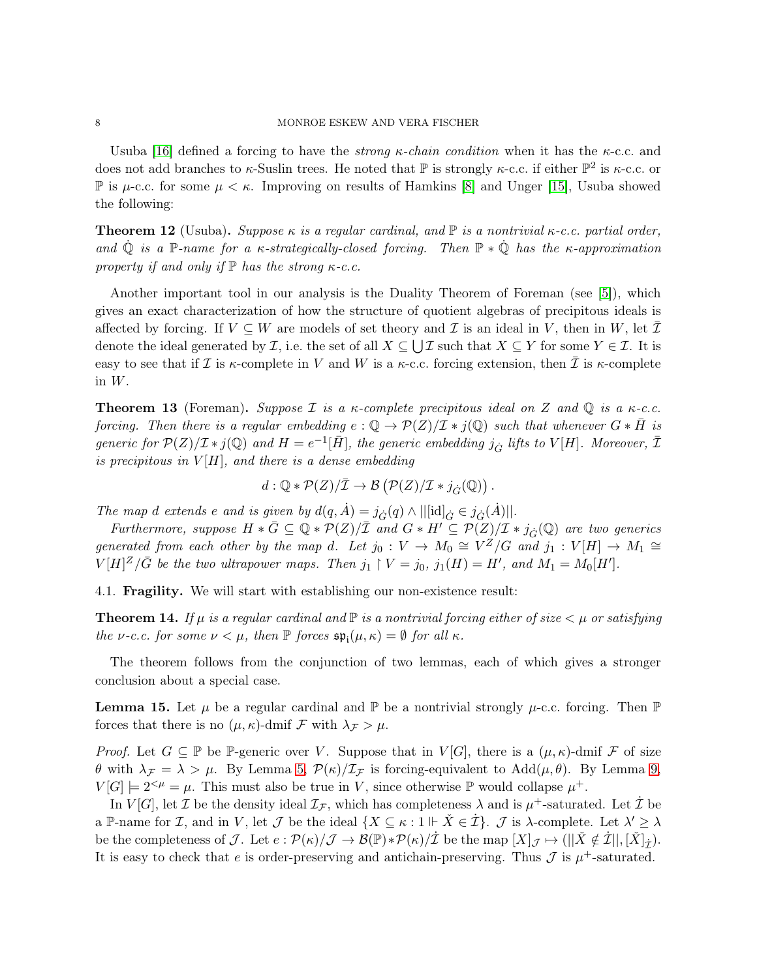Usuba [\[16\]](#page-20-3) defined a forcing to have the *strong*  $\kappa$ -chain condition when it has the  $\kappa$ -c.c. and does not add branches to  $\kappa$ -Suslin trees. He noted that  $\mathbb P$  is strongly  $\kappa$ -c.c. if either  $\mathbb P^2$  is  $\kappa$ -c.c. or P is  $\mu$ -c.c. for some  $\mu < \kappa$ . Improving on results of Hamkins [\[8\]](#page-20-2) and Unger [\[15\]](#page-20-4), Usuba showed the following:

**Theorem 12** (Usuba). Suppose  $\kappa$  is a regular cardinal, and  $\mathbb{P}$  is a nontrivial  $\kappa$ -c.c. partial order, and  $\dot{\mathbb{Q}}$  is a P-name for a  $\kappa$ -strategically-closed forcing. Then  $\mathbb{P} * \dot{\mathbb{Q}}$  has the  $\kappa$ -approximation property if and only if  $\mathbb P$  has the strong  $\kappa$ -c.c.

Another important tool in our analysis is the Duality Theorem of Foreman (see [\[5\]](#page-19-2)), which gives an exact characterization of how the structure of quotient algebras of precipitous ideals is affected by forcing. If  $V \subseteq W$  are models of set theory and  $\mathcal I$  is an ideal in V, then in W, let  $\bar{\mathcal I}$ denote the ideal generated by  $\mathcal{I}$ , i.e. the set of all  $X \subseteq \bigcup \mathcal{I}$  such that  $X \subseteq Y$  for some  $Y \in \mathcal{I}$ . It is easy to see that if I is  $\kappa$ -complete in V and W is a  $\kappa$ -c.c. forcing extension, then I is  $\kappa$ -complete in W.

<span id="page-7-1"></span>**Theorem 13** (Foreman). Suppose I is a  $\kappa$ -complete precipitous ideal on Z and  $\mathbb{Q}$  is a  $\kappa$ -c.c. forcing. Then there is a regular embedding  $e: \mathbb{Q} \to \mathcal{P}(Z)/\mathcal{I} * j(\mathbb{Q})$  such that whenever  $G * \overline{H}$  is generic for  $\mathcal{P}(Z)/\mathcal{I} * j(\mathbb{Q})$  and  $H = e^{-1}[\bar{H}]$ , the generic embedding  $j_{\dot{G}}$  lifts to  $V[H]$ . Moreover,  $\bar{\mathcal{I}}$ is precipitous in  $V[H]$ , and there is a dense embedding

$$
d: \mathbb{Q} * \mathcal{P}(Z)/\bar{\mathcal{I}} \to \mathcal{B}(\mathcal{P}(Z)/\mathcal{I} * j_{\dot{G}}(\mathbb{Q})).
$$

The map d extends e and is given by  $d(q, \dot{A}) = j_{\dot{G}}(q) \wedge ||[\text{id}]_{\dot{G}} \in j_{\dot{G}}(\dot{A})||.$ 

Furthermore, suppose  $H * \overline{G} \subseteq \overline{Q} * \overline{\mathcal{P}(Z)/\mathcal{I}}$  and  $G * H' \subseteq \mathcal{P}(Z)/\mathcal{I} * j_G(\overline{Q})$  are two generics generated from each other by the map d. Let  $j_0: V \to M_0 \cong V^Z/G$  and  $j_1: V[H] \to M_1 \cong$  $V[H]^Z/\bar{G}$  be the two ultrapower maps. Then  $j_1 \restriction V = j_0$ ,  $j_1(H) = H'$ , and  $M_1 = M_0[H']$ .

4.1. Fragility. We will start with establishing our non-existence result:

<span id="page-7-0"></span>**Theorem 14.** If  $\mu$  is a regular cardinal and  $\mathbb P$  is a nontrivial forcing either of size  $\lt \mu$  or satisfying the *ν*-c.c. for some  $\nu < \mu$ , then  $\mathbb P$  forces  $\mathfrak{sp}_{\mathfrak i}(\mu,\kappa) = \emptyset$  for all  $\kappa$ .

The theorem follows from the conjunction of two lemmas, each of which gives a stronger conclusion about a special case.

<span id="page-7-2"></span>**Lemma 15.** Let  $\mu$  be a regular cardinal and  $\mathbb{P}$  be a nontrivial strongly  $\mu$ -c.c. forcing. Then  $\mathbb{P}$ forces that there is no  $(\mu, \kappa)$ -dmif  $\mathcal F$  with  $\lambda_{\mathcal F} > \mu$ .

*Proof.* Let  $G \subseteq \mathbb{P}$  be  $\mathbb{P}$ -generic over V. Suppose that in  $V[G]$ , there is a  $(\mu, \kappa)$ -dmif F of size θ with  $\lambda_{\mathcal{F}} = \lambda > \mu$ . By Lemma [5,](#page-3-1)  $\mathcal{P}(\kappa)/\mathcal{I}_{\mathcal{F}}$  is forcing-equivalent to Add $(\mu, \theta)$ . By Lemma [9,](#page-5-4)  $V[G] \models 2^{<\mu} = \mu$ . This must also be true in V, since otherwise  $\mathbb P$  would collapse  $\mu^+$ .

In  $V[G]$ , let  $\mathcal I$  be the density ideal  $\mathcal I_{\mathcal F}$ , which has completeness  $\lambda$  and is  $\mu^+$ -saturated. Let  $\dot{\mathcal I}$  be a P-name for *I*, and in *V*, let *J* be the ideal  $\{X \subseteq \kappa : 1 \Vdash \check{X} \in \dot{\mathcal{I}}\}\.$  *J* is  $\lambda$ -complete. Let  $\lambda' \geq \lambda$ be the completeness of  $\mathcal{J}$ . Let  $e: \mathcal{P}(\kappa)/\mathcal{J} \to \mathcal{B}(\mathbb{P}) * \mathcal{P}(\kappa)/\mathcal{I}$  be the map  $[X]_{\mathcal{J}} \mapsto (||\check{X} \notin \dot{\mathcal{I}}||, [\check{X}]_{\dot{\mathcal{I}}})$ . It is easy to check that e is order-preserving and antichain-preserving. Thus  $\mathcal J$  is  $\mu^+$ -saturated.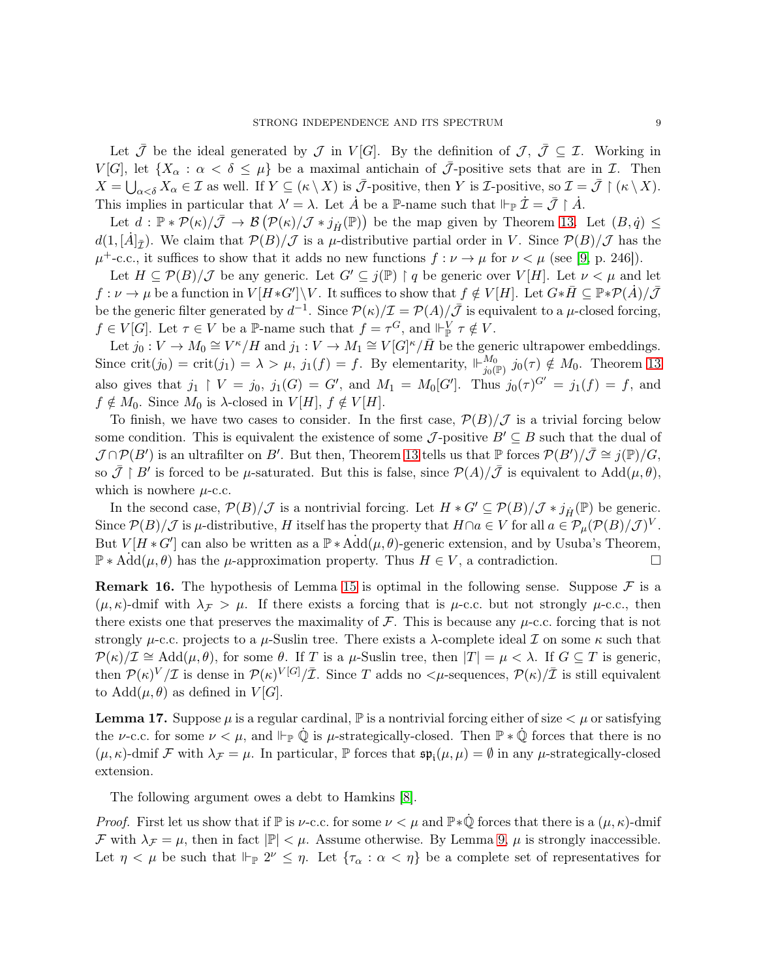Let  $\bar{\mathcal{J}}$  be the ideal generated by  $\mathcal{J}$  in  $V[G]$ . By the definition of  $\mathcal{J}, \bar{\mathcal{J}} \subseteq \mathcal{I}$ . Working in V[G], let  $\{X_\alpha : \alpha < \delta \leq \mu\}$  be a maximal antichain of  $\overline{\mathcal{J}}$ -positive sets that are in  $\mathcal{I}$ . Then  $X = \bigcup_{\alpha < \delta} X_{\alpha} \in \mathcal{I}$  as well. If  $Y \subseteq (\kappa \setminus X)$  is  $\bar{\mathcal{J}}$ -positive, then Y is *L*-positive, so  $\mathcal{I} = \bar{\mathcal{J}} \restriction (\kappa \setminus X)$ . This implies in particular that  $\lambda' = \lambda$ . Let  $\dot{A}$  be a P-name such that  $\Vdash_{\mathbb{P}} \dot{\mathcal{I}} = \bar{\mathcal{J}} \upharpoonright \dot{A}$ .

Let  $d : \mathbb{P} * \mathcal{P}(\kappa)/\overline{\mathcal{J}} \to \mathcal{B}(\mathcal{P}(\kappa)/\mathcal{J} * j_{\overrightarrow{H}}(\mathbb{P}))$  be the map given by Theorem [13.](#page-7-1) Let  $(B, \dot{q}) \leq$  $d(1,[\dot{A}]_{\bar{I}})$ . We claim that  $\mathcal{P}(B)/\mathcal{J}$  is a  $\mu$ -distributive partial order in V. Since  $\mathcal{P}(B)/\mathcal{J}$  has the  $\mu^+$ -c.c., it suffices to show that it adds no new functions  $f : \nu \to \mu$  for  $\nu < \mu$  (see [\[9,](#page-20-5) p. 246]).

Let  $H \subseteq \mathcal{P}(B)/\mathcal{J}$  be any generic. Let  $G' \subseteq j(\mathbb{P}) \restriction q$  be generic over  $V[H]$ . Let  $\nu < \mu$  and let  $f: \nu \to \mu$  be a function in  $V[H * G'] \backslash V$ . It suffices to show that  $f \notin V[H]$ . Let  $G * \overline{H} \subseteq \mathbb{P} * \mathcal{P}(\dot{A}) / \overline{\mathcal{J}}$ be the generic filter generated by  $d^{-1}$ . Since  $\mathcal{P}(\kappa)/\mathcal{I} = \mathcal{P}(A)/\bar{\mathcal{J}}$  is equivalent to a  $\mu$ -closed forcing,  $f \in V[G]$ . Let  $\tau \in V$  be a P-name such that  $f = \tau^G$ , and  $\Vdash_{\mathbb{P}}^V \tau \notin V$ .

Let  $j_0: V \to M_0 \cong V^{\kappa}/H$  and  $j_1: V \to M_1 \cong V[G]^{\kappa}/\bar{H}$  be the generic ultrapower embeddings. Since crit $(j_0) = \text{crit}(j_1) = \lambda > \mu$ ,  $j_1(f) = f$ . By elementarity,  $\Vdash_{j_0(1)}^{M_0}$  $j_0(p)$   $j_0(\tau) \notin M_0$ . Theorem [13](#page-7-1) also gives that  $j_1 \restriction V = j_0$ ,  $j_1(G) = G'$ , and  $M_1 = M_0[G']$ . Thus  $j_0(\tau)^{G'} = j_1(f) = f$ , and  $f \notin M_0$ . Since  $M_0$  is  $\lambda$ -closed in  $V[H]$ ,  $f \notin V[H]$ .

To finish, we have two cases to consider. In the first case,  $\mathcal{P}(B)/\mathcal{J}$  is a trivial forcing below some condition. This is equivalent the existence of some  $\mathcal{J}$ -positive  $B' \subseteq B$  such that the dual of  $\mathcal{J} \cap \mathcal{P}(B')$  is an ultrafilter on B'. But then, Theorem [13](#page-7-1) tells us that  $\mathbb{P}$  forces  $\mathcal{P}(B')/\overline{\mathcal{J}} \cong j(\mathbb{P})/G$ , so  $\bar{\mathcal{J}} \restriction B'$  is forced to be  $\mu$ -saturated. But this is false, since  $\mathcal{P}(A)/\bar{\mathcal{J}}$  is equivalent to  $\text{Add}(\mu,\theta)$ , which is nowhere  $\mu$ -c.c.

In the second case,  $\mathcal{P}(B)/\mathcal{J}$  is a nontrivial forcing. Let  $H * G' \subseteq \mathcal{P}(B)/\mathcal{J} * j_{\overrightarrow{H}}(\mathbb{P})$  be generic. Since  $\mathcal{P}(B)/\mathcal{J}$  is  $\mu$ -distributive, H itself has the property that  $H \cap a \in V$  for all  $a \in \mathcal{P}_{\mu}(\mathcal{P}(B)/\mathcal{J})^V$ . But  $V[H * G']$  can also be written as a  $\mathbb{P} * \text{Add}(\mu, \theta)$ -generic extension, and by Usuba's Theorem,  $\mathbb{P} * \text{Add}(\mu, \theta)$  has the  $\mu$ -approximation property. Thus  $H \in V$ , a contradiction.

**Remark 16.** The hypothesis of Lemma [15](#page-7-2) is optimal in the following sense. Suppose  $\mathcal{F}$  is a  $(\mu, \kappa)$ -dmif with  $\lambda \neq \mu$ . If there exists a forcing that is  $\mu$ -c.c. but not strongly  $\mu$ -c.c., then there exists one that preserves the maximality of  $\mathcal F$ . This is because any  $\mu$ -c.c. forcing that is not strongly  $\mu$ -c.c. projects to a  $\mu$ -Suslin tree. There exists a  $\lambda$ -complete ideal  $\mathcal I$  on some  $\kappa$  such that  $\mathcal{P}(\kappa)/\mathcal{I} \cong \text{Add}(\mu,\theta)$ , for some  $\theta$ . If T is a  $\mu$ -Suslin tree, then  $|T| = \mu < \lambda$ . If  $G \subseteq T$  is generic, then  $\mathcal{P}(\kappa)^V/\mathcal{I}$  is dense in  $\mathcal{P}(\kappa)^{V[G]}/\bar{\mathcal{I}}$ . Since T adds no  $\lt\mu$ -sequences,  $\mathcal{P}(\kappa)/\bar{\mathcal{I}}$  is still equivalent to  $Add(\mu, \theta)$  as defined in  $V[G]$ .

**Lemma 17.** Suppose  $\mu$  is a regular cardinal,  $\mathbb{P}$  is a nontrivial forcing either of size  $\lt \mu$  or satisfying the *ν*-c.c. for some  $\nu < \mu$ , and  $\Vdash_{\mathbb{P}} \dot{\mathbb{Q}}$  is *μ*-strategically-closed. Then  $\mathbb{P} * \dot{\mathbb{Q}}$  forces that there is no  $(\mu, \kappa)$ -dmif F with  $\lambda_{\mathcal{F}} = \mu$ . In particular, P forces that  $\mathfrak{sp}_{i}(\mu, \mu) = \emptyset$  in any  $\mu$ -strategically-closed extension.

The following argument owes a debt to Hamkins [\[8\]](#page-20-2).

*Proof.* First let us show that if  $\mathbb P$  is *ν*-c.c. for some  $\nu < \mu$  and  $\mathbb P * \dot{\mathbb Q}$  forces that there is a  $(\mu, \kappa)$ -dmif F with  $\lambda_{\mathcal{F}} = \mu$ , then in fact  $|\mathbb{P}| < \mu$ . Assume otherwise. By Lemma [9,](#page-5-4)  $\mu$  is strongly inaccessible. Let  $\eta < \mu$  be such that  $\Vdash_{\mathbb{P}} 2^{\nu} \leq \eta$ . Let  $\{\tau_{\alpha} : \alpha < \eta\}$  be a complete set of representatives for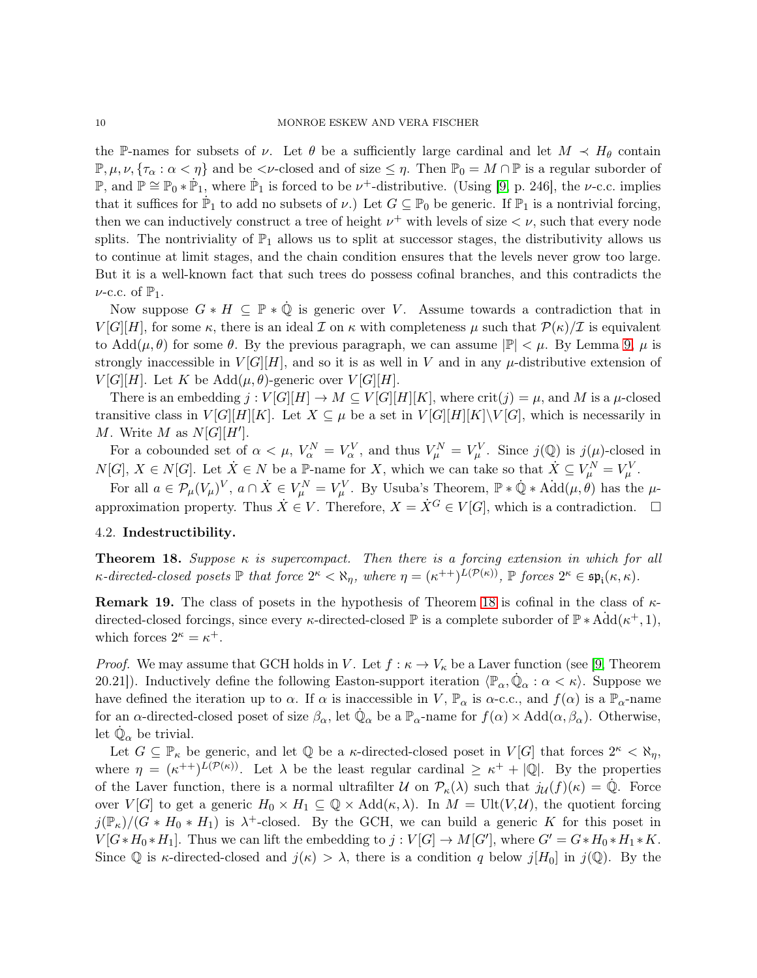the P-names for subsets of  $\nu$ . Let  $\theta$  be a sufficiently large cardinal and let  $M \prec H_{\theta}$  contain  $\mathbb{P}, \mu, \nu, \{\tau_{\alpha} : \alpha < \eta\}$  and be  $\langle \nu$ -closed and of size  $\leq \eta$ . Then  $\mathbb{P}_0 = M \cap \mathbb{P}$  is a regular suborder of P, and  $\mathbb{P} \cong \mathbb{P}_0 * \dot{\mathbb{P}}_1$ , where  $\dot{\mathbb{P}}_1$  is forced to be  $\nu^+$ -distributive. (Using [\[9,](#page-20-5) p. 246], the  $\nu$ -c.c. implies that it suffices for  $\dot{\mathbb{P}}_1$  to add no subsets of  $\nu$ .) Let  $G \subseteq \mathbb{P}_0$  be generic. If  $\mathbb{P}_1$  is a nontrivial forcing, then we can inductively construct a tree of height  $\nu^+$  with levels of size  $\lt \nu$ , such that every node splits. The nontriviality of  $\mathbb{P}_1$  allows us to split at successor stages, the distributivity allows us to continue at limit stages, and the chain condition ensures that the levels never grow too large. But it is a well-known fact that such trees do possess cofinal branches, and this contradicts the  $\nu$ -c.c. of  $\mathbb{P}_1$ .

Now suppose  $G * H \subseteq \mathbb{P} * \dot{\mathbb{Q}}$  is generic over V. Assume towards a contradiction that in  $V[G][H]$ , for some  $\kappa$ , there is an ideal  $\mathcal I$  on  $\kappa$  with completeness  $\mu$  such that  $\mathcal P(\kappa)/\mathcal I$  is equivalent to Add $(\mu, \theta)$  for some  $\theta$ . By the previous paragraph, we can assume  $|\mathbb{P}| < \mu$ . By Lemma [9,](#page-5-4)  $\mu$  is strongly inaccessible in  $V[G][H]$ , and so it is as well in V and in any  $\mu$ -distributive extension of  $V[G][H]$ . Let K be Add $(\mu, \theta)$ -generic over  $V[G][H]$ .

There is an embedding  $j: V[G][H] \to M \subseteq V[G][H][K]$ , where  $\text{crit}(j) = \mu$ , and M is a  $\mu$ -closed transitive class in  $V[G][H][K]$ . Let  $X \subseteq \mu$  be a set in  $V[G][H][K]\setminus V[G]$ , which is necessarily in M. Write M as  $N[G][H']$ .

For a cobounded set of  $\alpha < \mu$ ,  $V_{\alpha}^N = V_{\alpha}^V$ , and thus  $V_{\mu}^N = V_{\mu}^V$ . Since  $j(\mathbb{Q})$  is  $j(\mu)$ -closed in  $N[G], X \in N[G]$ . Let  $\dot{X} \in N$  be a  $\mathbb{P}\text{-name for } X$ , which we can take so that  $\dot{X} \subseteq V^N_\mu = V^V_\mu$ .

For all  $a \in \mathcal{P}_{\mu}(V_{\mu})^V$ ,  $a \cap \dot{X} \in V_{\mu}^N = V_{\mu}^V$ . By Usuba's Theorem,  $\mathbb{P} * \dot{\mathbb{Q}} * \text{Add}(\mu, \theta)$  has the  $\mu$ approximation property. Thus  $\dot{X} \in V$ . Therefore,  $X = \dot{X}^G \in V[G]$ , which is a contradiction.  $\Box$ 

#### 4.2. Indestructibility.

<span id="page-9-0"></span>**Theorem 18.** Suppose  $\kappa$  is supercompact. Then there is a forcing extension in which for all  $\kappa$ -directed-closed posets  $\mathbb P$  that force  $2^{\kappa} < \aleph_{\eta}$ , where  $\eta = (\kappa^{++})^{L(\mathcal{P}(\kappa))}$ ,  $\mathbb P$  forces  $2^{\kappa} \in \mathfrak{sp}_{\mathfrak i}(\kappa, \kappa)$ .

**Remark 19.** The class of posets in the hypothesis of Theorem [18](#page-9-0) is cofinal in the class of  $\kappa$ directed-closed forcings, since every  $\kappa$ -directed-closed  $\mathbb P$  is a complete suborder of  $\mathbb P * \hat{Add}(\kappa^+, 1)$ , which forces  $2^{\kappa} = \kappa^+$ .

*Proof.* We may assume that GCH holds in V. Let  $f : \kappa \to V_{\kappa}$  be a Laver function (see [\[9,](#page-20-5) Theorem 20.21]). Inductively define the following Easton-support iteration  $\langle \mathbb{P}_{\alpha}, \dot{\mathbb{Q}}_{\alpha} : \alpha < \kappa \rangle$ . Suppose we have defined the iteration up to  $\alpha$ . If  $\alpha$  is inaccessible in V,  $\mathbb{P}_{\alpha}$  is  $\alpha$ -c.c., and  $f(\alpha)$  is a  $\mathbb{P}_{\alpha}$ -name for an  $\alpha$ -directed-closed poset of size  $\beta_{\alpha}$ , let  $\dot{\mathbb{Q}}_{\alpha}$  be a  $\mathbb{P}_{\alpha}$ -name for  $f(\alpha) \times \text{Add}(\alpha, \beta_{\alpha})$ . Otherwise, let  $\dot{\mathbb{Q}}_{\alpha}$  be trivial.

Let  $G \subseteq \mathbb{P}_{\kappa}$  be generic, and let  $\mathbb{Q}$  be a  $\kappa$ -directed-closed poset in  $V[G]$  that forces  $2^{\kappa} < \aleph_{\eta}$ , where  $\eta = (\kappa^{++})^{L(\mathcal{P}(\kappa))}$ . Let  $\lambda$  be the least regular cardinal  $\geq \kappa^+ + |\mathbb{Q}|$ . By the properties of the Laver function, there is a normal ultrafilter  $\mathcal U$  on  $\mathcal P_\kappa(\lambda)$  such that  $j_{\mathcal U}(f)(\kappa) = \dot{\mathbb Q}$ . Force over  $V[G]$  to get a generic  $H_0 \times H_1 \subseteq \mathbb{Q} \times \text{Add}(\kappa,\lambda)$ . In  $M = \text{Ult}(V,\mathcal{U})$ , the quotient forcing  $j(\mathbb{P}_{\kappa})/(G * H_0 * H_1)$  is  $\lambda^+$ -closed. By the GCH, we can build a generic K for this poset in  $V[G * H_0 * H_1]$ . Thus we can lift the embedding to  $j: V[G] \to M[G']$ , where  $G' = G * H_0 * H_1 * K$ . Since Q is  $\kappa$ -directed-closed and  $j(\kappa) > \lambda$ , there is a condition q below  $j[H_0]$  in  $j(\mathbb{Q})$ . By the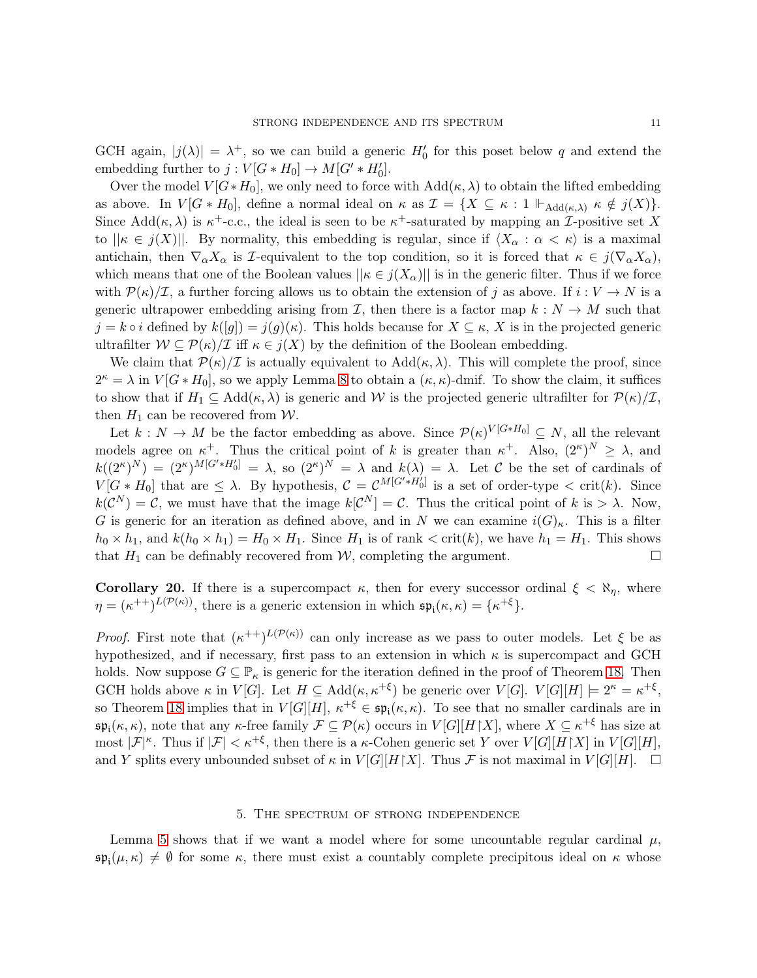GCH again,  $|j(\lambda)| = \lambda^+$ , so we can build a generic  $H'_0$  for this poset below q and extend the embedding further to  $j: V[G * H_0] \to M[G' * H'_0]$ .

Over the model  $V[G*H_0]$ , we only need to force with  $Add(\kappa, \lambda)$  to obtain the lifted embedding as above. In  $V[G * H_0]$ , define a normal ideal on  $\kappa$  as  $\mathcal{I} = \{X \subseteq \kappa : 1 \Vdash_{\text{Add}(\kappa,\lambda)} \kappa \notin j(X)\}.$ Since  $Add(\kappa, \lambda)$  is  $\kappa^+$ -c.c., the ideal is seen to be  $\kappa^+$ -saturated by mapping an *I*-positive set X to  $||\kappa \in j(X)||$ . By normality, this embedding is regular, since if  $\langle X_{\alpha} : \alpha < \kappa \rangle$  is a maximal antichain, then  $\nabla_{\alpha}X_{\alpha}$  is *I*-equivalent to the top condition, so it is forced that  $\kappa \in j(\nabla_{\alpha}X_{\alpha})$ , which means that one of the Boolean values  $||\kappa \in j(X_\alpha)||$  is in the generic filter. Thus if we force with  $\mathcal{P}(\kappa)/\mathcal{I}$ , a further forcing allows us to obtain the extension of j as above. If  $i: V \to N$  is a generic ultrapower embedding arising from  $\mathcal{I}$ , then there is a factor map  $k : N \to M$  such that  $j = k \circ i$  defined by  $k([g]) = j(g)(\kappa)$ . This holds because for  $X \subseteq \kappa$ , X is in the projected generic ultrafilter  $W \subseteq \mathcal{P}(\kappa)/\mathcal{I}$  iff  $\kappa \in j(X)$  by the definition of the Boolean embedding.

We claim that  $\mathcal{P}(\kappa)/\mathcal{I}$  is actually equivalent to  $\text{Add}(\kappa,\lambda)$ . This will complete the proof, since  $2^{\kappa} = \lambda$  in  $V[G * H_0]$ , so we apply Lemma [8](#page-4-1) to obtain a  $(\kappa, \kappa)$ -dmif. To show the claim, it suffices to show that if  $H_1 \subseteq \text{Add}(\kappa, \lambda)$  is generic and W is the projected generic ultrafilter for  $\mathcal{P}(\kappa)/\mathcal{I}$ , then  $H_1$  can be recovered from W.

Let  $k: N \to M$  be the factor embedding as above. Since  $\mathcal{P}(\kappa)^{V[G*H_0]} \subseteq N$ , all the relevant models agree on  $\kappa^+$ . Thus the critical point of k is greater than  $\kappa^+$ . Also,  $(2^{\kappa})^N \geq \lambda$ , and  $k((2^{\kappa})^N) = (2^{\kappa})^{M[G'*H_0']} = \lambda$ , so  $(2^{\kappa})^N = \lambda$  and  $k(\lambda) = \lambda$ . Let C be the set of cardinals of  $V[G * H_0]$  that are  $\leq \lambda$ . By hypothesis,  $C = \mathcal{C}^{M[G * H_0']}$  is a set of order-type  $\lt$  crit(k). Since  $k(\mathcal{C}^N) = \mathcal{C}$ , we must have that the image  $k[\mathcal{C}^N] = \mathcal{C}$ . Thus the critical point of k is  $> \lambda$ . Now, G is generic for an iteration as defined above, and in N we can examine  $i(G)_{\kappa}$ . This is a filter  $h_0 \times h_1$ , and  $k(h_0 \times h_1) = H_0 \times H_1$ . Since  $H_1$  is of rank  $\langle \text{crit}(k), \text{ we have } h_1 = H_1$ . This shows that  $H_1$  can be definably recovered from W, completing the argument.

Corollary 20. If there is a supercompact  $\kappa$ , then for every successor ordinal  $\xi < \aleph_n$ , where  $\eta = (\kappa^{++})^{L(\mathcal{P}(\kappa))}$ , there is a generic extension in which  $\mathfrak{sp}_{i}(\kappa, \kappa) = {\kappa^{+ \xi}}$ .

*Proof.* First note that  $(\kappa^{++})^{L(\mathcal{P}(\kappa))}$  can only increase as we pass to outer models. Let  $\xi$  be as hypothesized, and if necessary, first pass to an extension in which  $\kappa$  is supercompact and GCH holds. Now suppose  $G \subseteq \mathbb{P}_{\kappa}$  is generic for the iteration defined in the proof of Theorem [18.](#page-9-0) Then GCH holds above  $\kappa$  in  $V[G]$ . Let  $H \subseteq \text{Add}(\kappa, \kappa^{+\xi})$  be generic over  $V[G]$ .  $V[G][H] \models 2^{\kappa} = \kappa^{+\xi}$ , so Theorem [18](#page-9-0) implies that in  $V[G][H]$ ,  $\kappa^{+\xi} \in \mathfrak{sp}_{i}(\kappa, \kappa)$ . To see that no smaller cardinals are in  $\mathfrak{sp}_{i}(\kappa,\kappa)$ , note that any  $\kappa$ -free family  $\mathcal{F} \subseteq \mathcal{P}(\kappa)$  occurs in  $V[G][H\restriction X]$ , where  $X \subseteq \kappa^{+\xi}$  has size at most  $|\mathcal{F}|^{\kappa}$ . Thus if  $|\mathcal{F}| < \kappa^{+\xi}$ , then there is a  $\kappa$ -Cohen generic set Y over  $V[G][H\upharpoonright X]$  in  $V[G][H]$ , and Y splits every unbounded subset of  $\kappa$  in  $V[G][H\upharpoonright X]$ . Thus F is not maximal in  $V[G][H]$ .  $\square$ 

#### 5. The spectrum of strong independence

<span id="page-10-0"></span>Lemma [5](#page-3-1) shows that if we want a model where for some uncountable regular cardinal  $\mu$ ,  $\mathfrak{sp}_{i}(\mu,\kappa) \neq \emptyset$  for some  $\kappa$ , there must exist a countably complete precipitous ideal on  $\kappa$  whose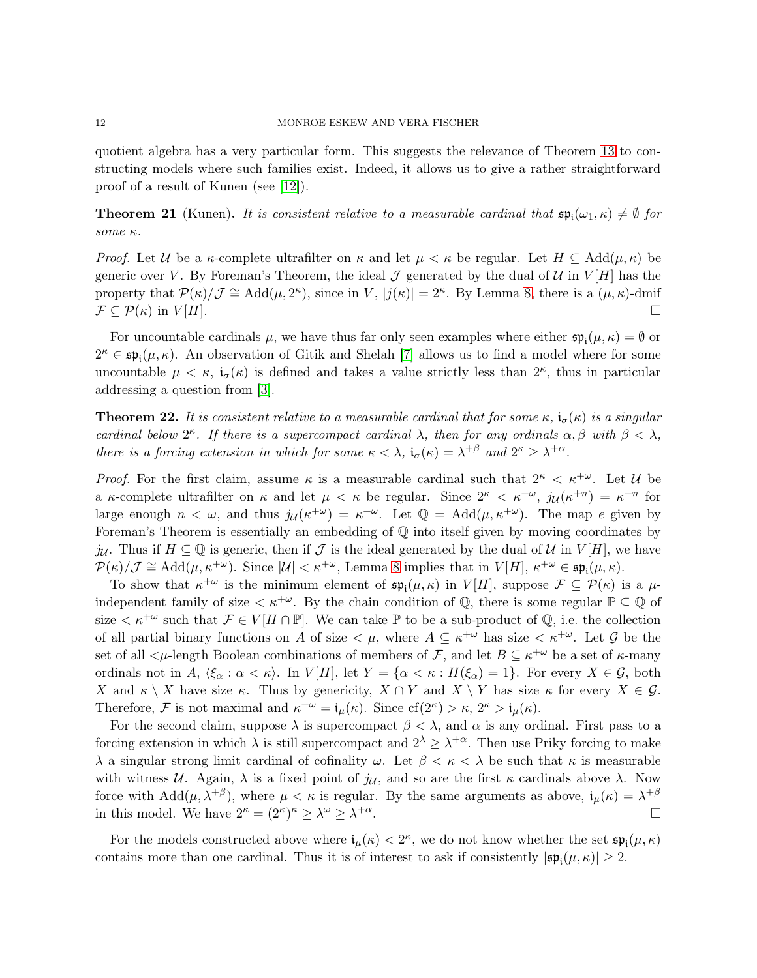quotient algebra has a very particular form. This suggests the relevance of Theorem [13](#page-7-1) to constructing models where such families exist. Indeed, it allows us to give a rather straightforward proof of a result of Kunen (see [\[12\]](#page-20-0)).

**Theorem 21** (Kunen). It is consistent relative to a measurable cardinal that  $\mathfrak{sp}_i(\omega_1, \kappa) \neq \emptyset$  for some κ.

*Proof.* Let U be a  $\kappa$ -complete ultrafilter on  $\kappa$  and let  $\mu < \kappa$  be regular. Let  $H \subseteq \text{Add}(\mu, \kappa)$  be generic over V. By Foreman's Theorem, the ideal  $\mathcal J$  generated by the dual of  $\mathcal U$  in  $V[H]$  has the property that  $\mathcal{P}(\kappa)/\mathcal{J} \cong \text{Add}(\mu, 2^{\kappa})$ , since in V,  $|j(\kappa)| = 2^{\kappa}$ . By Lemma [8,](#page-4-1) there is a  $(\mu, \kappa)$ -dmif  $\mathcal{F} \subseteq \mathcal{P}(\kappa)$  in  $V[H]$ .

For uncountable cardinals  $\mu$ , we have thus far only seen examples where either  $\mathfrak{sp}_{i}(\mu,\kappa) = \emptyset$  or  $2^{\kappa} \in \mathfrak{sp}_{i}(\mu,\kappa)$ . An observation of Gitik and Shelah [\[7\]](#page-19-3) allows us to find a model where for some uncountable  $\mu < \kappa$ ,  $i_{\sigma}(\kappa)$  is defined and takes a value strictly less than  $2^{\kappa}$ , thus in particular addressing a question from [\[3\]](#page-19-0).

<span id="page-11-0"></span>**Theorem 22.** It is consistent relative to a measurable cardinal that for some  $\kappa$ ,  $i_{\sigma}(\kappa)$  is a singular cardinal below  $2^{\kappa}$ . If there is a supercompact cardinal  $\lambda$ , then for any ordinals  $\alpha, \beta$  with  $\beta < \lambda$ , there is a forcing extension in which for some  $\kappa < \lambda$ ,  $\mathfrak{i}_{\sigma}(\kappa) = \lambda^{+\beta}$  and  $2^{\kappa} \geq \lambda^{+\alpha}$ .

*Proof.* For the first claim, assume  $\kappa$  is a measurable cardinal such that  $2^{\kappa} < \kappa^{+\omega}$ . Let U be a  $\kappa$ -complete ultrafilter on  $\kappa$  and let  $\mu < \kappa$  be regular. Since  $2^{\kappa} < \kappa^{+\omega}$ ,  $j_{\mathcal{U}}(\kappa^{+n}) = \kappa^{+n}$  for large enough  $n < \omega$ , and thus  $j_{\mathcal{U}}(\kappa^{+\omega}) = \kappa^{+\omega}$ . Let  $\mathbb{Q} = \text{Add}(\mu, \kappa^{+\omega})$ . The map e given by Foreman's Theorem is essentially an embedding of  $\mathbb Q$  into itself given by moving coordinates by ju. Thus if  $H \subseteq \mathbb{Q}$  is generic, then if  $\mathcal J$  is the ideal generated by the dual of  $\mathcal U$  in  $V[H]$ , we have  $\mathcal{P}(\kappa)/\mathcal{J} \cong \text{Add}(\mu, \kappa^{+\omega})$ . Since  $|\mathcal{U}| < \kappa^{+\omega}$ , Lemma [8](#page-4-1) implies that in  $V[H]$ ,  $\kappa^{+\omega} \in \mathfrak{sp}_{\mathfrak{i}}(\mu, \kappa)$ .

To show that  $\kappa^{+\omega}$  is the minimum element of  $\mathfrak{sp}_{i}(\mu,\kappa)$  in  $V[H]$ , suppose  $\mathcal{F} \subseteq \mathcal{P}(\kappa)$  is a  $\mu$ independent family of size  $\lt k^{+\omega}$ . By the chain condition of Q, there is some regular  $\mathbb{P} \subseteq \mathbb{Q}$  of size  $\lt \kappa^{+\omega}$  such that  $\mathcal{F} \in V[H \cap \mathbb{P}]$ . We can take  $\mathbb P$  to be a sub-product of  $\mathbb Q$ , i.e. the collection of all partial binary functions on A of size  $\lt \mu$ , where  $A \subseteq \kappa^{+\omega}$  has size  $\lt \kappa^{+\omega}$ . Let G be the set of all  $\lt \mu$ -length Boolean combinations of members of F, and let  $B \subseteq \kappa^{+\omega}$  be a set of  $\kappa$ -many ordinals not in A,  $\langle \xi_\alpha : \alpha < \kappa \rangle$ . In  $V[H]$ , let  $Y = \{\alpha < \kappa : H(\xi_\alpha) = 1\}$ . For every  $X \in \mathcal{G}$ , both X and  $\kappa \setminus X$  have size  $\kappa$ . Thus by genericity,  $X \cap Y$  and  $X \setminus Y$  has size  $\kappa$  for every  $X \in \mathcal{G}$ . Therefore, F is not maximal and  $\kappa^{+\omega} = \mathfrak{i}_{\mu}(\kappa)$ . Since  $cf(2^{\kappa}) > \kappa$ ,  $2^{\kappa} > \mathfrak{i}_{\mu}(\kappa)$ .

For the second claim, suppose  $\lambda$  is supercompact  $\beta < \lambda$ , and  $\alpha$  is any ordinal. First pass to a forcing extension in which  $\lambda$  is still supercompact and  $2^{\lambda} \geq \lambda^{+\alpha}$ . Then use Priky forcing to make λ a singular strong limit cardinal of cofinality  $ω$ . Let  $β < κ < λ$  be such that κ is measurable with witness U. Again,  $\lambda$  is a fixed point of  $j_{\mathcal{U}}$ , and so are the first  $\kappa$  cardinals above  $\lambda$ . Now force with  $Add(\mu, \lambda^{+\beta})$ , where  $\mu < \kappa$  is regular. By the same arguments as above,  $i_{\mu}(\kappa) = \lambda^{+\beta}$ in this model. We have  $2^{\kappa} = (2^{\kappa})^{\kappa} \ge \lambda^{\omega} \ge \lambda$  $+\alpha$ .

For the models constructed above where  $\mathfrak{i}_{\mu}(\kappa) < 2^{\kappa}$ , we do not know whether the set  $\mathfrak{sp}_{\mathfrak{i}}(\mu,\kappa)$ contains more than one cardinal. Thus it is of interest to ask if consistently  $|\mathfrak{sp}_{i}(\mu,\kappa)| \geq 2$ .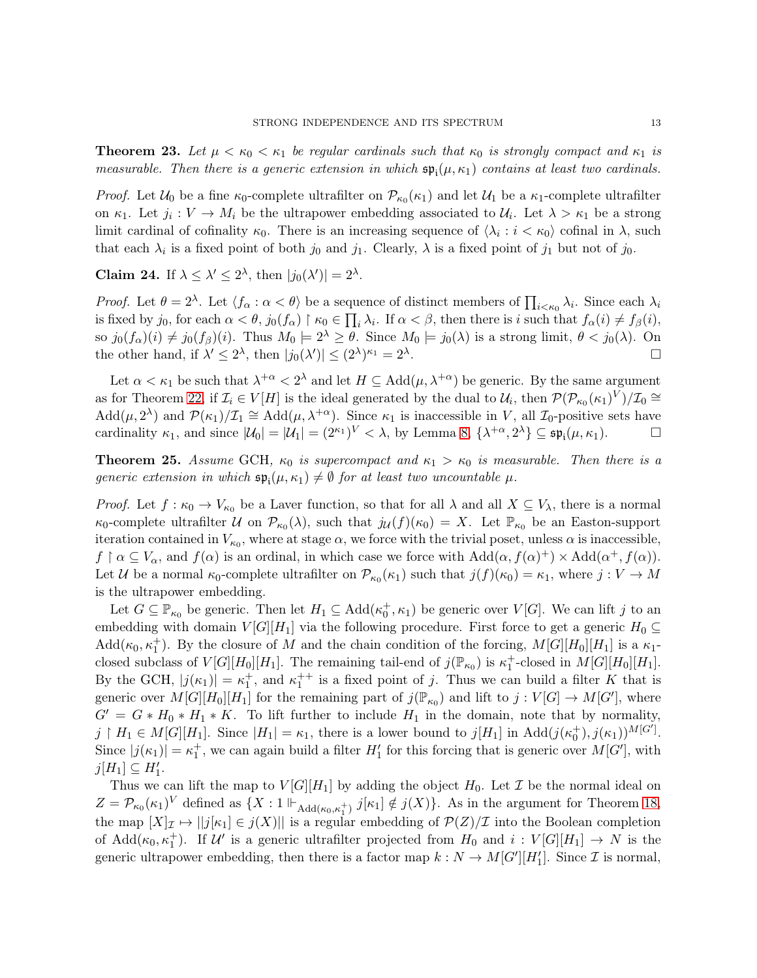**Theorem 23.** Let  $\mu < \kappa_0 < \kappa_1$  be regular cardinals such that  $\kappa_0$  is strongly compact and  $\kappa_1$  is measurable. Then there is a generic extension in which  $\mathfrak{sp}_{i}(\mu,\kappa_{1})$  contains at least two cardinals.

*Proof.* Let  $U_0$  be a fine  $\kappa_0$ -complete ultrafilter on  $\mathcal{P}_{\kappa_0}(\kappa_1)$  and let  $U_1$  be a  $\kappa_1$ -complete ultrafilter on  $\kappa_1$ . Let  $j_i: V \to M_i$  be the ultrapower embedding associated to  $\mathcal{U}_i$ . Let  $\lambda > \kappa_1$  be a strong limit cardinal of cofinality  $\kappa_0$ . There is an increasing sequence of  $\langle \lambda_i : i < \kappa_0 \rangle$  cofinal in  $\lambda$ , such that each  $\lambda_i$  is a fixed point of both  $j_0$  and  $j_1$ . Clearly,  $\lambda$  is a fixed point of  $j_1$  but not of  $j_0$ .

Claim 24. If  $\lambda \leq \lambda' \leq 2^{\lambda}$ , then  $|j_0(\lambda')| = 2^{\lambda}$ .

*Proof.* Let  $\theta = 2^{\lambda}$ . Let  $\langle f_{\alpha} : \alpha < \theta \rangle$  be a sequence of distinct members of  $\prod_{i \leq \kappa_0} \lambda_i$ . Since each  $\lambda_i$ is fixed by  $j_0$ , for each  $\alpha < \theta$ ,  $j_0(f_\alpha) \restriction \kappa_0 \in \prod_i \lambda_i$ . If  $\alpha < \beta$ , then there is i such that  $f_\alpha(i) \neq f_\beta(i)$ , so  $j_0(f_\alpha)(i) \neq j_0(f_\beta)(i)$ . Thus  $M_0 \models 2^\lambda \geq \theta$ . Since  $M_0 \models j_0(\lambda)$  is a strong limit,  $\theta < j_0(\lambda)$ . On the other hand, if  $\lambda' \leq 2^{\lambda}$ , then  $|j_0(\lambda')| \leq (2^{\lambda})^{\kappa_1} = 2^{\lambda}$ . <u>Дани</u> в общественности в общественности в общественности в общественности в общественности в общественности<br>В общественности в общественности в общественности в общественности в общественности в общественности в общест

Let  $\alpha < \kappa_1$  be such that  $\lambda^{+\alpha} < 2^{\lambda}$  and let  $H \subseteq \text{Add}(\mu, \lambda^{+\alpha})$  be generic. By the same argument as for Theorem [22,](#page-11-0) if  $\mathcal{I}_i \in V[H]$  is the ideal generated by the dual to  $\mathcal{U}_i$ , then  $\mathcal{P}(\mathcal{P}_{\kappa_0}(\kappa_1)^V)/\mathcal{I}_0 \cong$  $\text{Add}(\mu, 2^{\lambda})$  and  $\mathcal{P}(\kappa_1)/\mathcal{I}_1 \cong \text{Add}(\mu, \lambda^{+\alpha})$ . Since  $\kappa_1$  is inaccessible in V, all  $\mathcal{I}_0$ -positive sets have cardinality  $\kappa_1$ , and since  $|\mathcal{U}_0| = |\mathcal{U}_1| = (2^{\kappa_1})^V < \lambda$ , by Lemma [8,](#page-4-1)  $\{\lambda^{+\alpha}, 2^{\lambda}\} \subseteq \mathfrak{sp}_{\mathfrak{i}}(\mu, \kappa_1)$ .

**Theorem 25.** Assume GCH,  $\kappa_0$  is supercompact and  $\kappa_1 > \kappa_0$  is measurable. Then there is a generic extension in which  $\mathfrak{sp}_{i}(\mu,\kappa_{1})\neq\emptyset$  for at least two uncountable  $\mu$ .

*Proof.* Let  $f : \kappa_0 \to V_{\kappa_0}$  be a Laver function, so that for all  $\lambda$  and all  $X \subseteq V_\lambda$ , there is a normal  $\kappa_0$ -complete ultrafilter U on  $\mathcal{P}_{\kappa_0}(\lambda)$ , such that  $j_{\mathcal{U}}(f)(\kappa_0) = X$ . Let  $\mathbb{P}_{\kappa_0}$  be an Easton-support iteration contained in  $V_{\kappa_0}$ , where at stage  $\alpha$ , we force with the trivial poset, unless  $\alpha$  is inaccessible,  $f \restriction \alpha \subseteq V_\alpha$ , and  $f(\alpha)$  is an ordinal, in which case we force with  $Add(\alpha, f(\alpha)^+) \times Add(\alpha^+, f(\alpha))$ . Let U be a normal  $\kappa_0$ -complete ultrafilter on  $\mathcal{P}_{\kappa_0}(\kappa_1)$  such that  $j(f)(\kappa_0) = \kappa_1$ , where  $j: V \to M$ is the ultrapower embedding.

Let  $G \subseteq \mathbb{P}_{\kappa_0}$  be generic. Then let  $H_1 \subseteq \text{Add}(\kappa_0^+, \kappa_1)$  be generic over  $V[G]$ . We can lift j to an embedding with domain  $V[G][H_1]$  via the following procedure. First force to get a generic  $H_0 \subseteq$  $Add(\kappa_0, \kappa_1^+)$ . By the closure of M and the chain condition of the forcing,  $M[G][H_0][H_1]$  is a  $\kappa_1$ closed subclass of  $V[G][H_0][H_1]$ . The remaining tail-end of  $j(\mathbb{P}_{\kappa_0})$  is  $\kappa_1^+$ -closed in  $M[G][H_0][H_1]$ . By the GCH,  $|j(\kappa_1)| = \kappa_1^+$ , and  $\kappa_1^{++}$  is a fixed point of j. Thus we can build a filter K that is generic over  $M[G][H_0][H_1]$  for the remaining part of  $j(\mathbb{P}_{\kappa_0})$  and lift to  $j:V[G] \to M[G']$ , where  $G' = G * H_0 * H_1 * K$ . To lift further to include  $H_1$  in the domain, note that by normality,  $j \restriction H_1 \in M[G][H_1]$ . Since  $|H_1| = \kappa_1$ , there is a lower bound to  $j[H_1]$  in  $\text{Add}(j(\kappa_0^+), j(\kappa_1))^{M[G']}$ . Since  $|j(\kappa_1)| = \kappa_1^+$ , we can again build a filter  $H'_1$  for this forcing that is generic over  $M[G']$ , with  $j[H_1] \subseteq H'_1.$ 

Thus we can lift the map to  $V[G][H_1]$  by adding the object  $H_0$ . Let  $\mathcal I$  be the normal ideal on  $Z = \mathcal{P}_{\kappa_0}(\kappa_1)^V$  defined as  $\{X : 1 \Vdash_{\text{Add}(\kappa_0,\kappa_1^+)} j[\kappa_1] \notin j(X)\}.$  As in the argument for Theorem [18,](#page-9-0) the map  $[X]_{\mathcal{I}} \mapsto ||j[\kappa_1] \in j(X)||$  is a regular embedding of  $\mathcal{P}(Z)/\mathcal{I}$  into the Boolean completion of  $\text{Add}(\kappa_0, \kappa_1^+)$ . If U' is a generic ultrafilter projected from  $H_0$  and  $i: V[G][H_1] \to N$  is the generic ultrapower embedding, then there is a factor map  $k: N \to M[G'][H'_1]$ . Since  $\mathcal I$  is normal,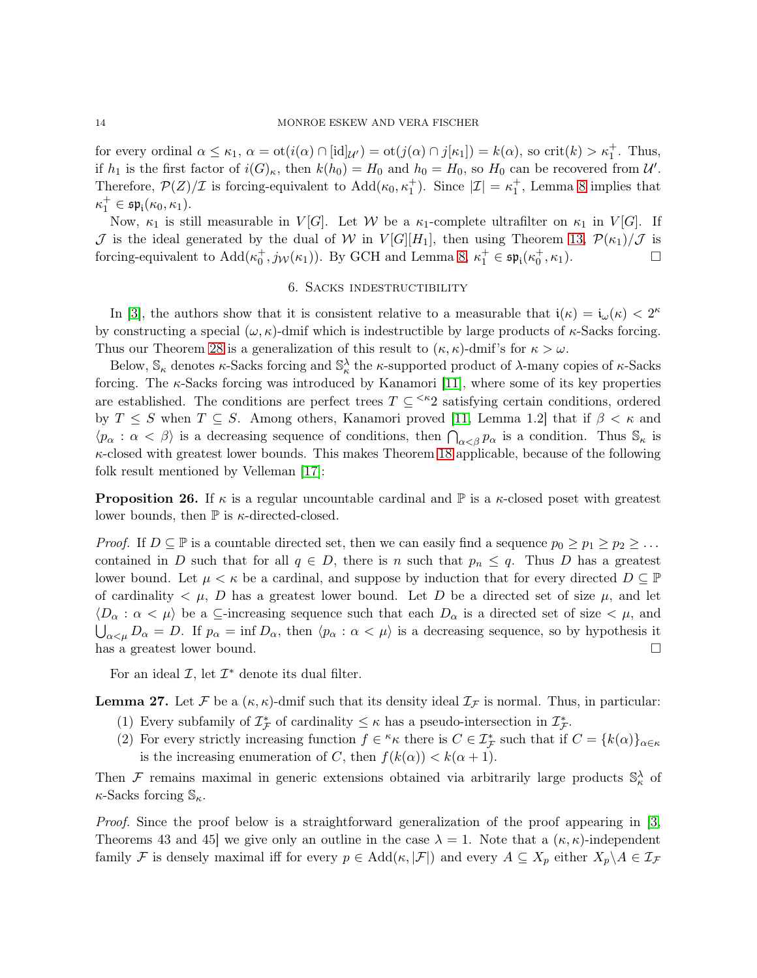for every ordinal  $\alpha \leq \kappa_1$ ,  $\alpha = \text{ot}(i(\alpha) \cap [\text{id}]_{\mathcal{U}'} ) = \text{ot}(j(\alpha) \cap j[\kappa_1]) = k(\alpha)$ , so crit $(k) > \kappa_1^+$ . Thus, if  $h_1$  is the first factor of  $i(G)_{\kappa}$ , then  $k(h_0) = H_0$  and  $h_0 = H_0$ , so  $H_0$  can be recovered from  $\mathcal{U}'$ . Therefore,  $\mathcal{P}(Z)/\mathcal{I}$  is forcing-equivalent to  $\text{Add}(\kappa_0, \kappa_1^+)$ . Since  $|\mathcal{I}| = \kappa_1^+$ , Lemma [8](#page-4-1) implies that  $\kappa_1^+\in\mathfrak{sp}_{\mathfrak i}(\kappa_0,\kappa_1).$ 

Now,  $\kappa_1$  is still measurable in  $V[G]$ . Let W be a  $\kappa_1$ -complete ultrafilter on  $\kappa_1$  in  $V[G]$ . If J is the ideal generated by the dual of W in  $V[G][H_1]$ , then using Theorem [13,](#page-7-1)  $\mathcal{P}(\kappa_1)/\mathcal{J}$  is forcing-equivalent to  $Add(\kappa_0^+, j_\mathcal{W}(\kappa_1))$ . By GCH and Lemma [8,](#page-4-1)  $\kappa_1^+ \in \mathfrak{sp}_{i}(\kappa_0^+, \kappa_1)$ .

## 6. Sacks indestructibility

<span id="page-13-0"></span>In [\[3\]](#page-19-0), the authors show that it is consistent relative to a measurable that  $i(\kappa) = i_{\omega}(\kappa) < 2^{\kappa}$ by constructing a special  $(\omega, \kappa)$ -dmif which is indestructible by large products of  $\kappa$ -Sacks forcing. Thus our Theorem [28](#page-14-0) is a generalization of this result to  $(\kappa, \kappa)$ -dmif's for  $\kappa > \omega$ .

Below,  $\mathbb{S}_{\kappa}$  denotes  $\kappa$ -Sacks forcing and  $\mathbb{S}_{\kappa}^{\lambda}$  the  $\kappa$ -supported product of  $\lambda$ -many copies of  $\kappa$ -Sacks forcing. The  $\kappa$ -Sacks forcing was introduced by Kanamori [\[11\]](#page-20-6), where some of its key properties are established. The conditions are perfect trees  $T \subseteq \leq^{\kappa} 2$  satisfying certain conditions, ordered by  $T \leq S$  when  $T \subseteq S$ . Among others, Kanamori proved [\[11,](#page-20-6) Lemma 1.2] that if  $\beta < \kappa$  and  $\langle p_{\alpha} : \alpha < \beta \rangle$  is a decreasing sequence of conditions, then  $\bigcap_{\alpha < \beta} p_{\alpha}$  is a condition. Thus  $\mathbb{S}_{\kappa}$  is  $\kappa$ -closed with greatest lower bounds. This makes Theorem [18](#page-9-0) applicable, because of the following folk result mentioned by Velleman [\[17\]](#page-20-7):

**Proposition 26.** If  $\kappa$  is a regular uncountable cardinal and  $\mathbb{P}$  is a  $\kappa$ -closed poset with greatest lower bounds, then  $\mathbb P$  is  $\kappa$ -directed-closed.

*Proof.* If  $D \subseteq \mathbb{P}$  is a countable directed set, then we can easily find a sequence  $p_0 \geq p_1 \geq p_2 \geq \ldots$ contained in D such that for all  $q \in D$ , there is n such that  $p_n \leq q$ . Thus D has a greatest lower bound. Let  $\mu < \kappa$  be a cardinal, and suppose by induction that for every directed  $D \subseteq \mathbb{P}$ of cardinality  $\lt \mu$ , D has a greatest lower bound. Let D be a directed set of size  $\mu$ , and let  $\langle D_{\alpha} : \alpha < \mu \rangle$  be a  $\subseteq$ -increasing sequence such that each  $D_{\alpha}$  is a directed set of size  $\lt \mu$ , and  $\bigcup_{\alpha<\mu} D_{\alpha} = D$ . If  $p_{\alpha} = \inf D_{\alpha}$ , then  $\langle p_{\alpha} : \alpha < \mu \rangle$  is a decreasing sequence, so by hypothesis it has a greatest lower bound.  $\square$ 

For an ideal  $\mathcal{I}$ , let  $\mathcal{I}^*$  denote its dual filter.

<span id="page-13-1"></span>**Lemma 27.** Let F be a  $(\kappa, \kappa)$ -dmif such that its density ideal  $\mathcal{I}_F$  is normal. Thus, in particular:

- (1) Every subfamily of  $\mathcal{I}_{\mathcal{F}}^*$  of cardinality  $\leq \kappa$  has a pseudo-intersection in  $\mathcal{I}_{\mathcal{F}}^*$ .
- (2) For every strictly increasing function  $f \in \kappa_{\kappa}$  there is  $C \in \mathcal{I}_{\mathcal{F}}^*$  such that if  $C = \{k(\alpha)\}_{\alpha \in \kappa}$ is the increasing enumeration of C, then  $f(k(\alpha)) < k(\alpha + 1)$ .

Then F remains maximal in generic extensions obtained via arbitrarily large products  $\mathbb{S}_{\kappa}^{\lambda}$  of  $\kappa$ -Sacks forcing  $\mathbb{S}_{\kappa}$ .

Proof. Since the proof below is a straightforward generalization of the proof appearing in [\[3,](#page-19-0) Theorems 43 and 45] we give only an outline in the case  $\lambda = 1$ . Note that a  $(\kappa, \kappa)$ -independent family F is densely maximal iff for every  $p \in \text{Add}(\kappa, |\mathcal{F}|)$  and every  $A \subseteq X_p$  either  $X_p \backslash A \in \mathcal{I}_{\mathcal{F}}$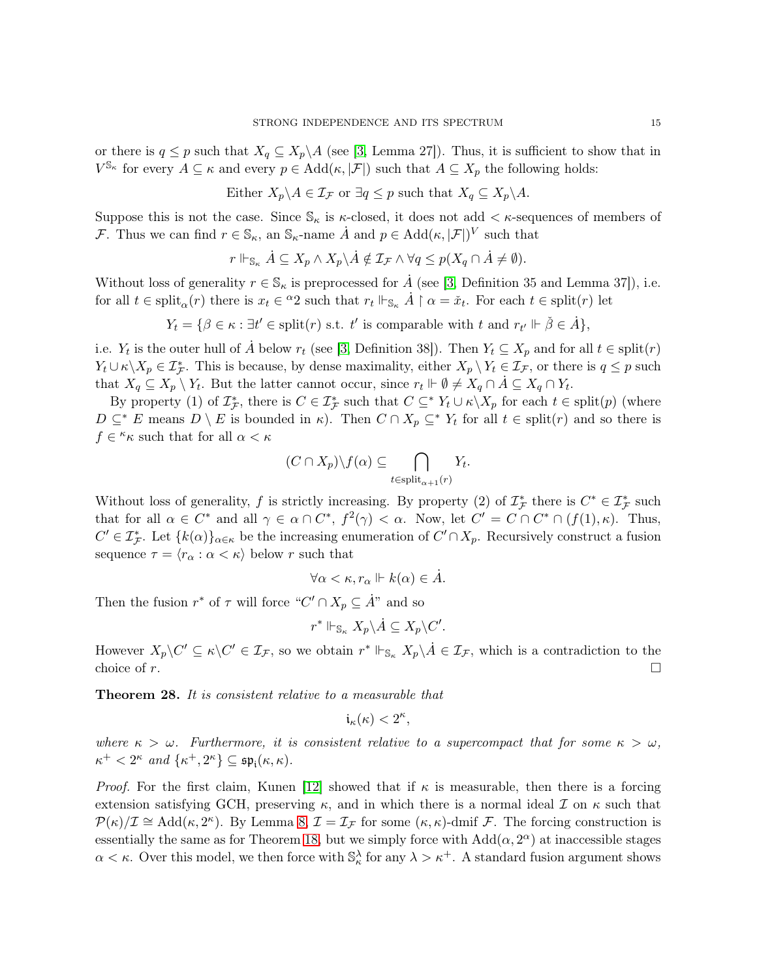or there is  $q \leq p$  such that  $X_q \subseteq X_p \backslash A$  (see [\[3,](#page-19-0) Lemma 27]). Thus, it is sufficient to show that in  $V^{\mathbb{S}_{\kappa}}$  for every  $A \subseteq \kappa$  and every  $p \in \text{Add}(\kappa, |\mathcal{F}|)$  such that  $A \subseteq X_p$  the following holds:

Either  $X_p \backslash A \in \mathcal{I}_{\mathcal{F}}$  or  $\exists q \leq p$  such that  $X_q \subseteq X_p \backslash A$ .

Suppose this is not the case. Since  $\mathbb{S}_{\kappa}$  is  $\kappa$ -closed, it does not add  $\lt \kappa$ -sequences of members of *F*. Thus we can find  $r \in \mathbb{S}_{\kappa}$ , an  $\mathbb{S}_{\kappa}$ -name  $\dot{A}$  and  $p \in \text{Add}(\kappa, |\mathcal{F}|)^{V}$  such that

$$
r \Vdash_{\mathbb{S}_{\kappa}} \dot{A} \subseteq X_p \wedge X_p \backslash \dot{A} \notin \mathcal{I}_{\mathcal{F}} \wedge \forall q \le p(X_q \cap \dot{A} \neq \emptyset).
$$

Without loss of generality  $r \in \mathbb{S}_{\kappa}$  is preprocessed for A (see [\[3,](#page-19-0) Definition 35 and Lemma 37]), i.e. for all  $t \in \text{split}(r)$  there is  $x_t \in {}^{\alpha}2$  such that  $r_t \Vdash_{\mathbb{S}_{\kappa}} \dot{A} \upharpoonright \alpha = \check{x}_t$ . For each  $t \in \text{split}(r)$  let

 $Y_t = \{ \beta \in \kappa : \exists t' \in \text{split}(r) \text{ s.t. } t' \text{ is comparable with } t \text{ and } r_{t'} \Vdash \check{\beta} \in \dot{A} \},\$ 

i.e.  $Y_t$  is the outer hull of  $\dot{A}$  below  $r_t$  (see [\[3,](#page-19-0) Definition 38]). Then  $Y_t \subseteq X_p$  and for all  $t \in \text{split}(r)$  $Y_t \cup \kappa \setminus X_p \in \mathcal{I}_{\mathcal{F}}^*$ . This is because, by dense maximality, either  $X_p \setminus Y_t \in \mathcal{I}_{\mathcal{F}}$ , or there is  $q \leq p$  such that  $X_q \subseteq X_p \setminus Y_t$ . But the latter cannot occur, since  $r_t \Vdash \emptyset \neq X_q \cap A \subseteq X_q \cap Y_t$ .

By property (1) of  $\mathcal{I}_{\mathcal{F}}^*$ , there is  $C \in \mathcal{I}_{\mathcal{F}}^*$  such that  $C \subseteq^* Y_t \cup \kappa \setminus X_p$  for each  $t \in \text{split}(p)$  (where  $D \subseteq^* E$  means  $D \setminus E$  is bounded in  $\kappa$ ). Then  $C \cap X_p \subseteq^* Y_t$  for all  $t \in \text{split}(r)$  and so there is  $f \in \kappa_{\kappa}$  such that for all  $\alpha < \kappa$ 

$$
(C \cap X_p) \backslash f(\alpha) \subseteq \bigcap_{t \in \text{split}_{\alpha+1}(r)} Y_t.
$$

Without loss of generality, f is strictly increasing. By property (2) of  $\mathcal{I}_{\mathcal{F}}^*$  there is  $C^* \in \mathcal{I}_{\mathcal{F}}^*$  such that for all  $\alpha \in C^*$  and all  $\gamma \in \alpha \cap C^*$ ,  $f^2(\gamma) < \alpha$ . Now, let  $C' = C \cap C^* \cap (f(1), \kappa)$ . Thus,  $C' \in \mathcal{I}_{\mathcal{F}}^*$ . Let  $\{k(\alpha)\}_{\alpha \in \kappa}$  be the increasing enumeration of  $C' \cap X_p$ . Recursively construct a fusion sequence  $\tau = \langle r_{\alpha} : \alpha < \kappa \rangle$  below r such that

$$
\forall \alpha < \kappa, r_\alpha \Vdash k(\alpha) \in \dot{A}.
$$

Then the fusion  $r^*$  of  $\tau$  will force " $C' \cap X_p \subseteq \mathring{A}$ " and so

 $r^* \Vdash_{\mathbb{S}_{\kappa}} X_p \backslash \dot{A} \subseteq X_p \backslash C'.$ 

However  $X_p\setminus C' \subseteq \kappa\setminus C' \in \mathcal{I}_{\mathcal{F}}$ , so we obtain  $r^* \Vdash_{\mathbb{S}_{\kappa}} X_p\setminus \dot{A} \in \mathcal{I}_{\mathcal{F}}$ , which is a contradiction to the choice of r.

<span id="page-14-0"></span>**Theorem 28.** It is consistent relative to a measurable that

$$
\mathfrak{i}_\kappa(\kappa) < 2^\kappa,
$$

where  $\kappa > \omega$ . Furthermore, it is consistent relative to a supercompact that for some  $\kappa > \omega$ ,  $\kappa^+ < 2^{\kappa}$  and  $\{\kappa^+, 2^{\kappa}\} \subseteq \mathfrak{sp}_{\mathfrak{i}}(\kappa, \kappa)$ .

*Proof.* For the first claim, Kunen [\[12\]](#page-20-0) showed that if  $\kappa$  is measurable, then there is a forcing extension satisfying GCH, preserving  $\kappa$ , and in which there is a normal ideal  $\mathcal I$  on  $\kappa$  such that  $\mathcal{P}(\kappa)/\mathcal{I} \cong \text{Add}(\kappa, 2^{\kappa})$ . By Lemma [8,](#page-4-1)  $\mathcal{I} = \mathcal{I}_{\mathcal{F}}$  for some  $(\kappa, \kappa)$ -dmif  $\mathcal{F}$ . The forcing construction is essentially the same as for Theorem [18,](#page-9-0) but we simply force with  $Add(\alpha, 2^{\alpha})$  at inaccessible stages  $\alpha < \kappa$ . Over this model, we then force with  $\mathbb{S}_{\kappa}^{\lambda}$  for any  $\lambda > \kappa^+$ . A standard fusion argument shows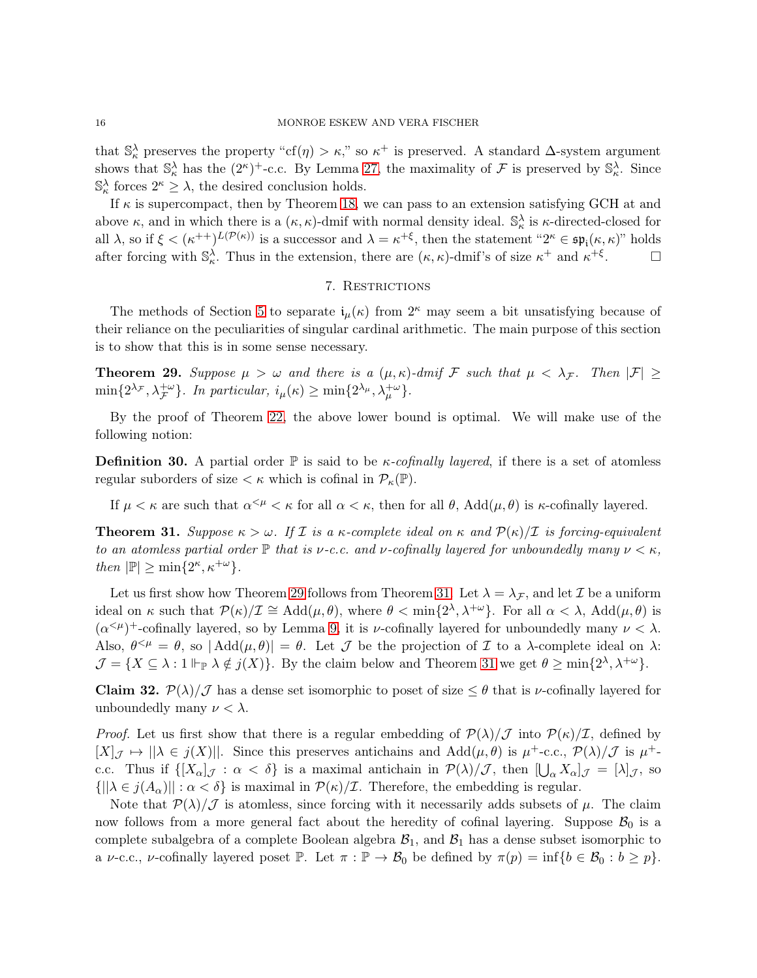that  $\mathbb{S}_{\kappa}^{\lambda}$  preserves the property "cf( $\eta$ ) >  $\kappa$ ," so  $\kappa^+$  is preserved. A standard  $\Delta$ -system argument shows that  $\mathbb{S}_{\kappa}^{\lambda}$  has the  $(2^{\kappa})^+$ -c.c. By Lemma [27,](#page-13-1) the maximality of  $\mathcal F$  is preserved by  $\mathbb{S}_{\kappa}^{\lambda}$ . Since  $\mathbb{S}_{\kappa}^{\lambda}$  forces  $2^{\kappa} \geq \lambda$ , the desired conclusion holds.

If  $\kappa$  is supercompact, then by Theorem [18,](#page-9-0) we can pass to an extension satisfying GCH at and above  $\kappa$ , and in which there is a  $(\kappa, \kappa)$ -dmif with normal density ideal.  $\mathbb{S}_{\kappa}^{\lambda}$  is  $\kappa$ -directed-closed for all  $\lambda$ , so if  $\xi < (\kappa^{++})^{L(\mathcal{P}(\kappa))}$  is a successor and  $\lambda = \kappa^{+\xi}$ , then the statement " $2^{\kappa} \in \mathfrak{sp}_{i}(\kappa, \kappa)$ " holds after forcing with  $\mathbb{S}_{\kappa}^{\lambda}$ . Thus in the extension, there are  $(\kappa, \kappa)$ -dmif's of size  $\kappa^+$  and  $\kappa^{+\xi}$  $\Box$ 

## 7. Restrictions

<span id="page-15-0"></span>The methods of Section [5](#page-10-0) to separate  $i_{\mu}(\kappa)$  from  $2^{\kappa}$  may seem a bit unsatisfying because of their reliance on the peculiarities of singular cardinal arithmetic. The main purpose of this section is to show that this is in some sense necessary.

<span id="page-15-1"></span>**Theorem 29.** Suppose  $\mu > \omega$  and there is a  $(\mu, \kappa)$ -dmif F such that  $\mu < \lambda_{\mathcal{F}}$ . Then  $|\mathcal{F}| \ge$  $\min\{2^{\lambda_{\mathcal{F}}}, \lambda_{\mathcal{F}}^{+\omega}\}\.$  In particular,  $i_{\mu}(\kappa) \geq \min\{2^{\lambda_{\mu}}, \lambda_{\mu}^{+\omega}\}\.$ 

By the proof of Theorem [22,](#page-11-0) the above lower bound is optimal. We will make use of the following notion:

**Definition 30.** A partial order  $\mathbb{P}$  is said to be *κ-cofinally layered*, if there is a set of atomless regular suborders of size  $\lt \kappa$  which is cofinal in  $\mathcal{P}_{\kappa}(\mathbb{P})$ .

If  $\mu < \kappa$  are such that  $\alpha^{<\mu} < \kappa$  for all  $\alpha < \kappa$ , then for all  $\theta$ ,  $Add(\mu, \theta)$  is  $\kappa$ -cofinally layered.

<span id="page-15-2"></span>**Theorem 31.** Suppose  $\kappa > \omega$ . If I is a  $\kappa$ -complete ideal on  $\kappa$  and  $\mathcal{P}(\kappa)/\mathcal{I}$  is forcing-equivalent to an atomless partial order  $\mathbb P$  that is *ν*-c.c. and *ν*-cofinally layered for unboundedly many  $\nu < \kappa$ , then  $|\mathbb{P}| \ge \min\{2^{\kappa}, \kappa^{+\omega}\}.$ 

Let us first show how Theorem [29](#page-15-1) follows from Theorem [31.](#page-15-2) Let  $\lambda = \lambda_{\mathcal{F}}$ , and let  $\mathcal{I}$  be a uniform ideal on  $\kappa$  such that  $\mathcal{P}(\kappa)/\mathcal{I} \cong \text{Add}(\mu,\theta)$ , where  $\theta < \min\{2^{\lambda}, \lambda^{+\omega}\}\$ . For all  $\alpha < \lambda$ ,  $\text{Add}(\mu,\theta)$  is  $(\alpha^{&\mu})^+$ -cofinally layered, so by Lemma [9,](#page-5-4) it is *v*-cofinally layered for unboundedly many  $\nu < \lambda$ . Also,  $\theta^{\leq \mu} = \theta$ , so  $|\text{Add}(\mu, \theta)| = \theta$ . Let  $\mathcal J$  be the projection of  $\mathcal I$  to a  $\lambda$ -complete ideal on  $\lambda$ :  $\mathcal{J} = \{ X \subseteq \lambda : 1 \Vdash_{\mathbb{P}} \lambda \notin j(X) \}.$  By the claim below and Theorem [31](#page-15-2) we get  $\theta \ge \min\{2^{\lambda}, \lambda^{+\omega}\}.$ 

**Claim 32.**  $\mathcal{P}(\lambda)/\mathcal{J}$  has a dense set isomorphic to poset of size  $\leq \theta$  that is  $\nu$ -cofinally layered for unboundedly many  $\nu < \lambda$ .

*Proof.* Let us first show that there is a regular embedding of  $\mathcal{P}(\lambda)/\mathcal{J}$  into  $\mathcal{P}(\kappa)/\mathcal{I}$ , defined by  $[X]_{\mathcal{J}} \mapsto ||\lambda \in j(X)||$ . Since this preserves antichains and  $\text{Add}(\mu,\theta)$  is  $\mu^+\text{-c.c.}, \mathcal{P}(\lambda)/\mathcal{J}$  is  $\mu^+\text{-c.c.}$ c.c. Thus if  $\{[X_{\alpha}]_{\mathcal{J}} : \alpha < \delta\}$  is a maximal antichain in  $\mathcal{P}(\lambda)/\mathcal{J}$ , then  $[\bigcup_{\alpha} X_{\alpha}]_{\mathcal{J}} = [\lambda]_{\mathcal{J}}$ , so  $\{||\lambda \in j(A_\alpha)|| : \alpha < \delta\}$  is maximal in  $\mathcal{P}(\kappa)/\mathcal{I}$ . Therefore, the embedding is regular.

Note that  $\mathcal{P}(\lambda)/\mathcal{J}$  is atomless, since forcing with it necessarily adds subsets of  $\mu$ . The claim now follows from a more general fact about the heredity of cofinal layering. Suppose  $\mathcal{B}_0$  is a complete subalgebra of a complete Boolean algebra  $B_1$ , and  $B_1$  has a dense subset isomorphic to a  $\nu$ -c.c.,  $\nu$ -cofinally layered poset  $\mathbb{P}$ . Let  $\pi : \mathbb{P} \to \mathcal{B}_0$  be defined by  $\pi(p) = \inf \{b \in \mathcal{B}_0 : b \geq p\}.$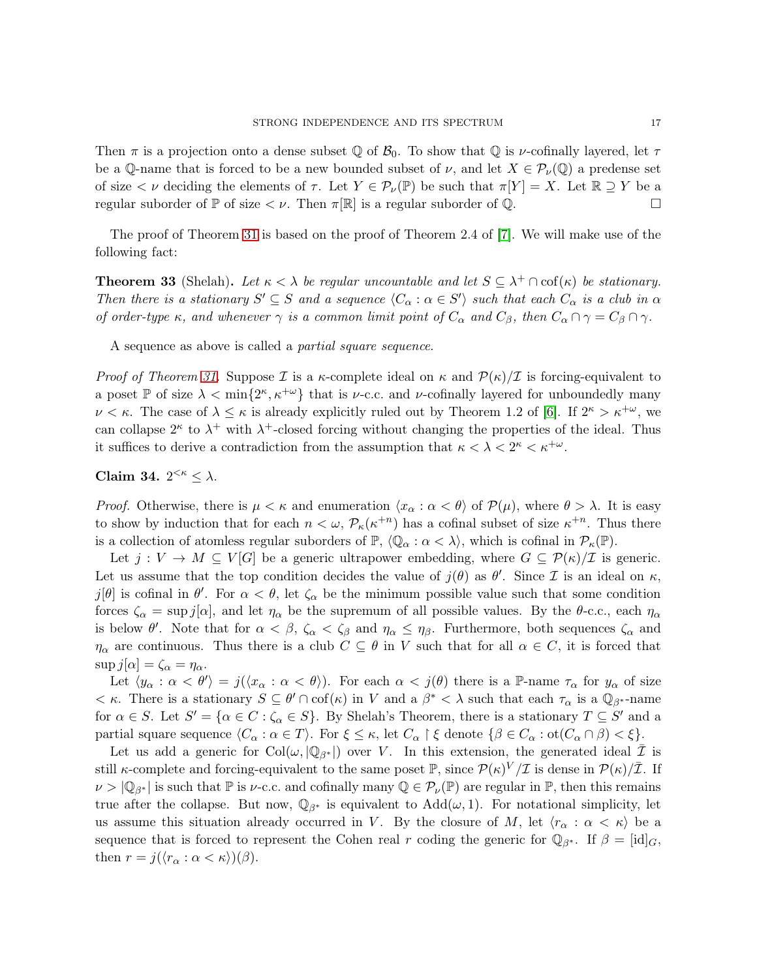Then  $\pi$  is a projection onto a dense subset Q of  $\mathcal{B}_0$ . To show that Q is *v*-cofinally layered, let  $\tau$ be a Q-name that is forced to be a new bounded subset of  $\nu$ , and let  $X \in \mathcal{P}_{\nu}(\mathbb{Q})$  a predense set of size  $\lt \nu$  deciding the elements of  $\tau$ . Let  $Y \in \mathcal{P}_\nu(\mathbb{P})$  be such that  $\pi[Y] = X$ . Let  $\mathbb{R} \supseteq Y$  be a regular suborder of  $\mathbb P$  of size  $\lt \nu$ . Then  $\pi[\mathbb R]$  is a regular suborder of  $\mathbb Q$ .

The proof of Theorem [31](#page-15-2) is based on the proof of Theorem 2.4 of [\[7\]](#page-19-3). We will make use of the following fact:

**Theorem 33** (Shelah). Let  $\kappa < \lambda$  be regular uncountable and let  $S \subseteq \lambda^+ \cap cof(\kappa)$  be stationary. Then there is a stationary  $S' \subseteq S$  and a sequence  $\langle C_\alpha : \alpha \in S' \rangle$  such that each  $C_\alpha$  is a club in  $\alpha$ of order-type  $\kappa$ , and whenever  $\gamma$  is a common limit point of  $C_{\alpha}$  and  $C_{\beta}$ , then  $C_{\alpha} \cap \gamma = C_{\beta} \cap \gamma$ .

A sequence as above is called a partial square sequence.

*Proof of Theorem [31.](#page-15-2)* Suppose  $\mathcal I$  is a  $\kappa$ -complete ideal on  $\kappa$  and  $\mathcal P(\kappa)/\mathcal I$  is forcing-equivalent to a poset  $\mathbb P$  of size  $\lambda < \min\{2^{\kappa}, \kappa^{+\omega}\}\$  that is *v*-c.c. and *v*-cofinally layered for unboundedly many  $\nu < \kappa$ . The case of  $\lambda \leq \kappa$  is already explicitly ruled out by Theorem 1.2 of [\[6\]](#page-19-6). If  $2^{\kappa} > \kappa^{+\omega}$ , we can collapse  $2^{\kappa}$  to  $\lambda^{+}$  with  $\lambda^{+}$ -closed forcing without changing the properties of the ideal. Thus it suffices to derive a contradiction from the assumption that  $\kappa < \lambda < 2^{\kappa} < \kappa^{+\omega}$ .

# <span id="page-16-0"></span>Claim 34.  $2^{<\kappa} \leq \lambda$ .

*Proof.* Otherwise, there is  $\mu < \kappa$  and enumeration  $\langle x_{\alpha} : \alpha < \theta \rangle$  of  $\mathcal{P}(\mu)$ , where  $\theta > \lambda$ . It is easy to show by induction that for each  $n < \omega$ ,  $\mathcal{P}_{\kappa}(\kappa^{+n})$  has a cofinal subset of size  $\kappa^{+n}$ . Thus there is a collection of atomless regular suborders of  $\mathbb{P}, \langle \mathbb{Q}_{\alpha} : \alpha < \lambda \rangle$ , which is cofinal in  $\mathcal{P}_{\kappa}(\mathbb{P})$ .

Let  $j: V \to M \subseteq V[G]$  be a generic ultrapower embedding, where  $G \subseteq \mathcal{P}(\kappa)/\mathcal{I}$  is generic. Let us assume that the top condition decides the value of  $j(\theta)$  as  $\theta'$ . Since  $\mathcal I$  is an ideal on  $\kappa$ , j[θ] is cofinal in  $\theta'$ . For  $\alpha < \theta$ , let  $\zeta_{\alpha}$  be the minimum possible value such that some condition forces  $\zeta_{\alpha} = \sup j[\alpha]$ , and let  $\eta_{\alpha}$  be the supremum of all possible values. By the  $\theta$ -c.c., each  $\eta_{\alpha}$ is below  $\theta'$ . Note that for  $\alpha < \beta$ ,  $\zeta_{\alpha} < \zeta_{\beta}$  and  $\eta_{\alpha} \leq \eta_{\beta}$ . Furthermore, both sequences  $\zeta_{\alpha}$  and  $\eta_{\alpha}$  are continuous. Thus there is a club  $C \subseteq \theta$  in V such that for all  $\alpha \in C$ , it is forced that  $\sup j[\alpha] = \zeta_\alpha = \eta_\alpha.$ 

Let  $\langle y_\alpha : \alpha < \theta' \rangle = j(\langle x_\alpha : \alpha < \theta \rangle)$ . For each  $\alpha < j(\theta)$  there is a P-name  $\tau_\alpha$  for  $y_\alpha$  of size  $<\kappa$ . There is a stationary  $S \subseteq \theta' \cap \text{cof}(\kappa)$  in V and a  $\beta^* < \lambda$  such that each  $\tau_\alpha$  is a  $\mathbb{Q}_{\beta^*}$ -name for  $\alpha \in S$ . Let  $S' = {\alpha \in C : \zeta_{\alpha} \in S}$ . By Shelah's Theorem, there is a stationary  $T \subseteq S'$  and a partial square sequence  $\langle C_\alpha : \alpha \in T \rangle$ . For  $\xi \le \kappa$ , let  $C_\alpha \restriction \xi$  denote  $\{\beta \in C_\alpha : \text{ot}(C_\alpha \cap \beta) < \xi\}.$ 

Let us add a generic for  $Col(\omega, |\mathbb{Q}_{\beta^*}|)$  over V. In this extension, the generated ideal  $\overline{\mathcal{I}}$  is still *κ*-complete and forcing-equivalent to the same poset  $\mathbb{P}$ , since  $\mathcal{P}(\kappa)^V/\mathcal{I}$  is dense in  $\mathcal{P}(\kappa)/\bar{\mathcal{I}}$ . If  $\nu > |\mathbb{Q}_{\beta^*}|$  is such that  $\mathbb P$  is  $\nu$ -c.c. and cofinally many  $\mathbb Q \in \mathcal P_{\nu}(\mathbb P)$  are regular in  $\mathbb P$ , then this remains true after the collapse. But now,  $\mathbb{Q}_{\beta^*}$  is equivalent to  $Add(\omega, 1)$ . For notational simplicity, let us assume this situation already occurred in V. By the closure of M, let  $\langle r_{\alpha} : \alpha < \kappa \rangle$  be a sequence that is forced to represent the Cohen real r coding the generic for  $\mathbb{Q}_{\beta^*}$ . If  $\beta = [\text{id}]_G$ , then  $r = j(\langle r_\alpha : \alpha < \kappa \rangle)(\beta)$ .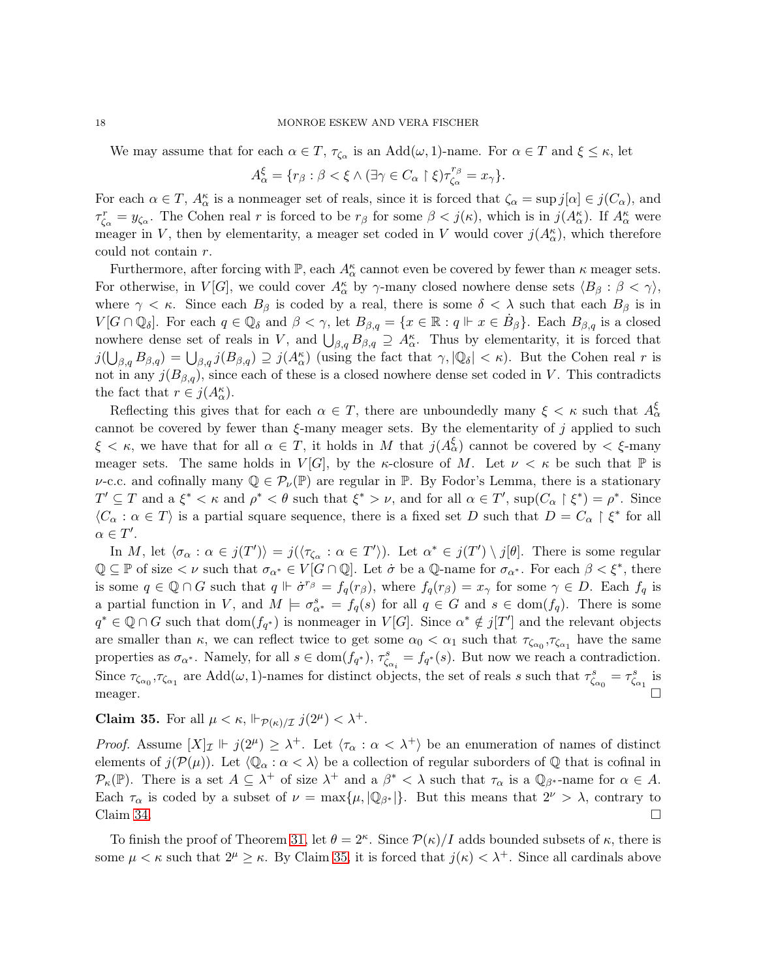We may assume that for each  $\alpha \in T$ ,  $\tau_{\zeta_{\alpha}}$  is an  $Add(\omega, 1)$ -name. For  $\alpha \in T$  and  $\xi \leq \kappa$ , let

$$
A_\alpha^\xi=\{r_\beta:\beta<\xi\wedge(\exists\gamma\in C_\alpha\restriction\xi)\tau_{\zeta_\alpha}^{r_\beta}=x_\gamma\}.
$$

For each  $\alpha \in T$ ,  $A_{\alpha}^{\kappa}$  is a nonmeager set of reals, since it is forced that  $\zeta_{\alpha} = \sup j[\alpha] \in j(C_{\alpha})$ , and  $\tau_{\zeta_{\alpha}}^r = y_{\zeta_{\alpha}}$ . The Cohen real r is forced to be  $r_{\beta}$  for some  $\beta < j(\kappa)$ , which is in  $j(A_{\alpha}^{\kappa})$ . If  $A_{\alpha}^{\kappa}$  were meager in V, then by elementarity, a meager set coded in V would cover  $j(A_{\alpha}^{\kappa})$ , which therefore could not contain r.

Furthermore, after forcing with  $\mathbb{P}$ , each  $A_{\alpha}^{\kappa}$  cannot even be covered by fewer than  $\kappa$  meager sets. For otherwise, in  $V[G]$ , we could cover  $A_{\alpha}^{\kappa}$  by  $\gamma$ -many closed nowhere dense sets  $\langle B_{\beta} : \beta < \gamma \rangle$ , where  $\gamma < \kappa$ . Since each  $B_\beta$  is coded by a real, there is some  $\delta < \lambda$  such that each  $B_\beta$  is in  $V[G \cap \mathbb{Q}_\delta]$ . For each  $q \in \mathbb{Q}_\delta$  and  $\beta < \gamma$ , let  $B_{\beta,q} = \{x \in \mathbb{R} : q \Vdash x \in \dot{B}_\beta\}$ . Each  $B_{\beta,q}$  is a closed nowhere dense set of reals in V, and  $\bigcup_{\beta,q} B_{\beta,q} \supseteq A_{\alpha}^{\kappa}$ . Thus by elementarity, it is forced that  $j(\bigcup_{\beta,q} B_{\beta,q}) = \bigcup_{\beta,q} j(B_{\beta,q}) \supseteq j(A_{\alpha}^{\kappa})$  (using the fact that  $\gamma, |\mathbb{Q}_{\delta}| < \kappa$ ). But the Cohen real r is not in any  $j(B_{\beta,q})$ , since each of these is a closed nowhere dense set coded in V. This contradicts the fact that  $r \in j(A_{\alpha}^{\kappa})$ .

Reflecting this gives that for each  $\alpha \in T$ , there are unboundedly many  $\xi < \kappa$  such that  $A_{\alpha}^{\xi}$ cannot be covered by fewer than  $\xi$ -many meager sets. By the elementarity of j applied to such  $\xi < \kappa$ , we have that for all  $\alpha \in T$ , it holds in M that  $j(A_{\alpha}^{\xi})$  cannot be covered by  $\langle \xi$ -many meager sets. The same holds in  $V[G]$ , by the  $\kappa$ -closure of M. Let  $\nu < \kappa$  be such that  $\mathbb P$  is *ν*-c.c. and cofinally many  $\mathbb{Q} \in \mathcal{P}_{\nu}(\mathbb{P})$  are regular in  $\mathbb{P}$ . By Fodor's Lemma, there is a stationary  $T' \subseteq T$  and  $a \xi^* < \kappa$  and  $\rho^* < \theta$  such that  $\xi^* > \nu$ , and for all  $\alpha \in T'$ ,  $\sup(C_\alpha \upharpoonright \xi^*) = \rho^*$ . Since  $\langle C_{\alpha} : \alpha \in T \rangle$  is a partial square sequence, there is a fixed set D such that  $D = C_{\alpha} \upharpoonright \xi^*$  for all  $\alpha \in T'.$ 

In M, let  $\langle \sigma_\alpha : \alpha \in j(T') \rangle = j(\langle \tau_{\zeta_\alpha} : \alpha \in T' \rangle)$ . Let  $\alpha^* \in j(T') \setminus j[\theta]$ . There is some regular  $\mathbb{Q} \subseteq \mathbb{P}$  of size  $\lt \nu$  such that  $\sigma_{\alpha^*} \in V[G \cap \mathbb{Q}]$ . Let  $\dot{\sigma}$  be a  $\mathbb{Q}$ -name for  $\sigma_{\alpha^*}$ . For each  $\beta \lt \xi^*$ , there is some  $q \in \mathbb{Q} \cap G$  such that  $q \Vdash \dot{\sigma}^{r_{\beta}} = f_q(r_{\beta})$ , where  $f_q(r_{\beta}) = x_{\gamma}$  for some  $\gamma \in D$ . Each  $f_q$  is a partial function in V, and  $M \models \sigma_{\alpha^*}^s = f_q(s)$  for all  $q \in G$  and  $s \in \text{dom}(f_q)$ . There is some  $q^* \in \mathbb{Q} \cap G$  such that  $dom(f_{q^*})$  is nonmeager in  $V[G]$ . Since  $\alpha^* \notin j[T']$  and the relevant objects are smaller than  $\kappa$ , we can reflect twice to get some  $\alpha_0 < \alpha_1$  such that  $\tau_{\zeta_{\alpha_0}}, \tau_{\zeta_{\alpha_1}}$  have the same properties as  $\sigma_{\alpha^*}$ . Namely, for all  $s \in \text{dom}(f_{q^*})$ ,  $\tau_{\zeta_{\alpha}}^s = f_{q^*}(s)$ . But now we reach a contradiction.  $\zeta_{\alpha_i}$ Since  $\tau_{\zeta_{\alpha_0}}, \tau_{\zeta_{\alpha_1}}$  are  $Add(\omega, 1)$ -names for distinct objects, the set of reals s such that  $\tau_{\zeta_{\alpha_0}}^s = \tau_{\zeta_{\alpha_1}}^s$  is meager.  $\square$ 

<span id="page-17-0"></span>**Claim 35.** For all  $\mu < \kappa$ ,  $\Vdash_{\mathcal{P}(\kappa)/\mathcal{I}} j(2^{\mu}) < \lambda^+$ .

*Proof.* Assume  $[X]_{\mathcal{I}} \Vdash j(2^{\mu}) \geq \lambda^+$ . Let  $\langle \tau_{\alpha} : \alpha < \lambda^+ \rangle$  be an enumeration of names of distinct elements of  $j(\mathcal{P}(\mu))$ . Let  $\langle \mathbb{Q}_{\alpha} : \alpha < \lambda \rangle$  be a collection of regular suborders of  $\mathbb Q$  that is cofinal in  $\mathcal{P}_{\kappa}(\mathbb{P})$ . There is a set  $A \subseteq \lambda^+$  of size  $\lambda^+$  and a  $\beta^* < \lambda$  such that  $\tau_{\alpha}$  is a  $\mathbb{Q}_{\beta^*}$ -name for  $\alpha \in A$ . Each  $\tau_{\alpha}$  is coded by a subset of  $\nu = \max\{\mu, |\mathbb{Q}_{\beta^*}|\}.$  But this means that  $2^{\nu} > \lambda$ , contrary to Claim [34.](#page-16-0)

To finish the proof of Theorem [31,](#page-15-2) let  $\theta = 2^{\kappa}$ . Since  $\mathcal{P}(\kappa)/I$  adds bounded subsets of  $\kappa$ , there is some  $\mu < \kappa$  such that  $2^{\mu} \geq \kappa$ . By Claim [35,](#page-17-0) it is forced that  $j(\kappa) < \lambda^+$ . Since all cardinals above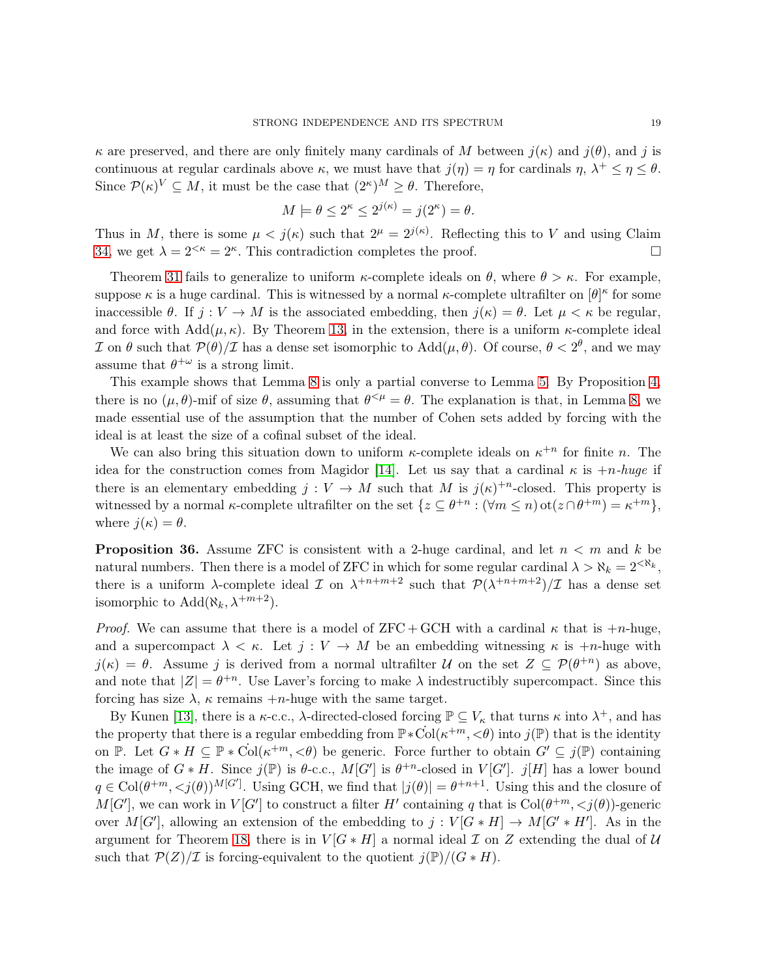$\kappa$  are preserved, and there are only finitely many cardinals of M between  $i(\kappa)$  and  $i(\theta)$ , and j is continuous at regular cardinals above  $\kappa$ , we must have that  $j(\eta) = \eta$  for cardinals  $\eta$ ,  $\lambda^+ \leq \eta \leq \theta$ . Since  $\mathcal{P}(\kappa)^V \subseteq M$ , it must be the case that  $(2^{\kappa})^M \geq \theta$ . Therefore,

$$
M \models \theta \le 2^{\kappa} \le 2^{j(\kappa)} = j(2^{\kappa}) = \theta.
$$

Thus in M, there is some  $\mu < j(\kappa)$  such that  $2^{\mu} = 2^{j(\kappa)}$ . Reflecting this to V and using Claim [34,](#page-16-0) we get  $\lambda = 2^{<\kappa} = 2^{\kappa}$ . This contradiction completes the proof.

Theorem [31](#page-15-2) fails to generalize to uniform  $\kappa$ -complete ideals on  $\theta$ , where  $\theta > \kappa$ . For example, suppose  $\kappa$  is a huge cardinal. This is witnessed by a normal  $\kappa$ -complete ultrafilter on  $[\theta]^\kappa$  for some inaccessible  $\theta$ . If  $j: V \to M$  is the associated embedding, then  $j(\kappa) = \theta$ . Let  $\mu < \kappa$  be regular, and force with  $Add(\mu, \kappa)$ . By Theorem [13,](#page-7-1) in the extension, there is a uniform  $\kappa$ -complete ideal I on θ such that  $P(\theta)/I$  has a dense set isomorphic to Add $(\mu, \theta)$ . Of course,  $\theta < 2^{\theta}$ , and we may assume that  $\theta^{+\omega}$  is a strong limit.

This example shows that Lemma [8](#page-4-1) is only a partial converse to Lemma [5.](#page-3-1) By Proposition [4,](#page-3-0) there is no  $(\mu, \theta)$ -mif of size  $\theta$ , assuming that  $\theta^{<\mu} = \theta$ . The explanation is that, in Lemma [8,](#page-4-1) we made essential use of the assumption that the number of Cohen sets added by forcing with the ideal is at least the size of a cofinal subset of the ideal.

We can also bring this situation down to uniform  $\kappa$ -complete ideals on  $\kappa^{+n}$  for finite n. The idea for the construction comes from Magidor [\[14\]](#page-20-8). Let us say that a cardinal  $\kappa$  is  $+n$ -huge if there is an elementary embedding  $j: V \to M$  such that M is  $j(\kappa)^{+n}$ -closed. This property is witnessed by a normal  $\kappa$ -complete ultrafilter on the set  $\{z \subseteq \theta^{+n} : (\forall m \leq n)$  ot $(z \cap \theta^{+m}) = \kappa^{+m}\},$ where  $j(\kappa) = \theta$ .

**Proposition 36.** Assume ZFC is consistent with a 2-huge cardinal, and let  $n < m$  and k be natural numbers. Then there is a model of ZFC in which for some regular cardinal  $\lambda > \aleph_k = 2^{\langle \aleph_k \rangle}$ , there is a uniform  $\lambda$ -complete ideal  $\mathcal I$  on  $\lambda^{+n+m+2}$  such that  $\mathcal P(\lambda^{+n+m+2})/\mathcal I$  has a dense set isomorphic to  $\text{Add}(\aleph_k, \lambda^{+m+2})$ .

*Proof.* We can assume that there is a model of  $ZFC + GCH$  with a cardinal  $\kappa$  that is  $+n$ -huge, and a supercompact  $\lambda < \kappa$ . Let  $j: V \to M$  be an embedding witnessing  $\kappa$  is  $+n$ -huge with  $j(\kappa) = \theta$ . Assume j is derived from a normal ultrafilter U on the set  $Z \subseteq \mathcal{P}(\theta^{+n})$  as above, and note that  $|Z| = \theta^{+n}$ . Use Laver's forcing to make  $\lambda$  indestructibly supercompact. Since this forcing has size  $\lambda$ ,  $\kappa$  remains  $+n$ -huge with the same target.

By Kunen [\[13\]](#page-20-9), there is a  $\kappa$ -c.c.,  $\lambda$ -directed-closed forcing  $\mathbb{P} \subseteq V_{\kappa}$  that turns  $\kappa$  into  $\lambda^+$ , and has the property that there is a regular embedding from  $\mathbb{P} * \text{Col}(\kappa^{+m}, \leq \theta)$  into  $j(\mathbb{P})$  that is the identity on P. Let  $G * H \subseteq \mathbb{P} * \text{Col}(\kappa^{+m}, \leq \theta)$  be generic. Force further to obtain  $G' \subseteq j(\mathbb{P})$  containing the image of  $G * H$ . Since  $j(\mathbb{P})$  is  $\theta$ -c.c.,  $M[G']$  is  $\theta^{+n}$ -closed in  $V[G']$ .  $j[H]$  has a lower bound  $q \in \text{Col}(\theta^{+m}, . Using GCH, we find that  $|j(\theta)| = \theta^{+n+1}$ . Using this and the closure of$  $M[G']$ , we can work in  $V[G']$  to construct a filter H' containing q that is  $Col(\theta^{+m}, *j*(\theta))$ -generic over  $M[G']$ , allowing an extension of the embedding to  $j: V[G * H] \to M[G' * H']$ . As in the argument for Theorem [18,](#page-9-0) there is in  $V[G*H]$  a normal ideal  $\mathcal I$  on  $Z$  extending the dual of  $\mathcal U$ such that  $\mathcal{P}(Z)/\mathcal{I}$  is forcing-equivalent to the quotient  $j(\mathbb{P})/(G * H)$ .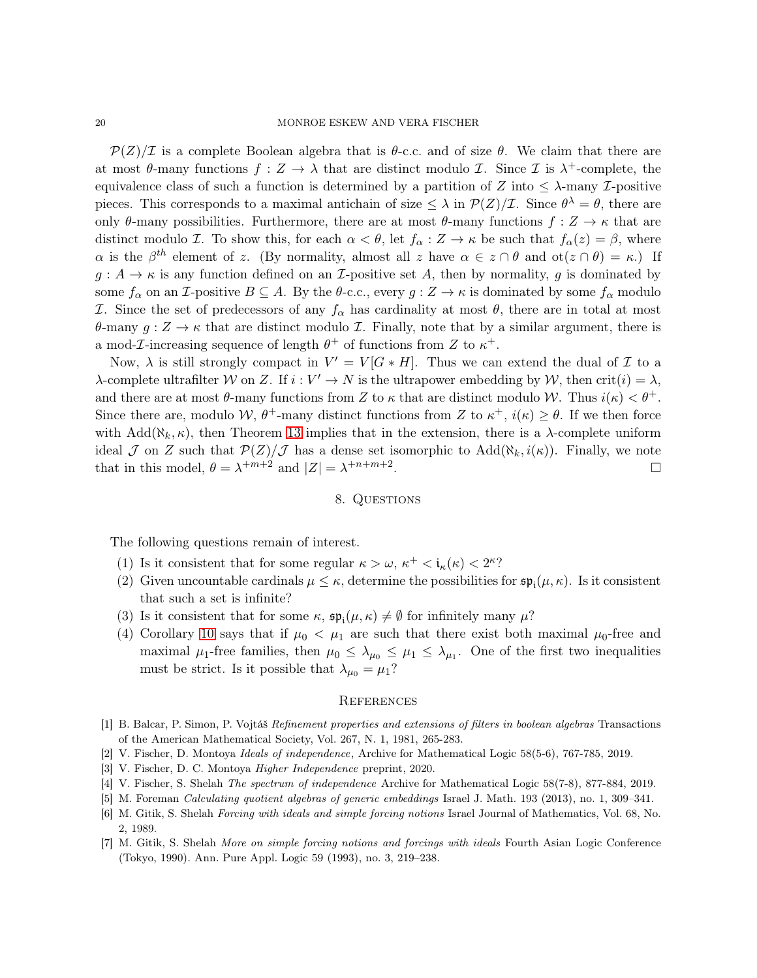$\mathcal{P}(Z)/\mathcal{I}$  is a complete Boolean algebra that is  $\theta$ -c.c. and of size  $\theta$ . We claim that there are at most  $\theta$ -many functions  $f: Z \to \lambda$  that are distinct modulo *L*. Since *L* is  $\lambda^+$ -complete, the equivalence class of such a function is determined by a partition of Z into  $\leq \lambda$ -many  $\mathcal{I}$ -positive pieces. This corresponds to a maximal antichain of size  $\leq \lambda$  in  $\mathcal{P}(Z)/\mathcal{I}$ . Since  $\theta^{\lambda} = \theta$ , there are only θ-many possibilities. Furthermore, there are at most  $\theta$ -many functions  $f: Z \to \kappa$  that are distinct modulo *I*. To show this, for each  $\alpha < \theta$ , let  $f_{\alpha}: Z \to \kappa$  be such that  $f_{\alpha}(z) = \beta$ , where  $\alpha$  is the  $\beta^{th}$  element of z. (By normality, almost all z have  $\alpha \in z \cap \theta$  and  $\alpha(z \cap \theta) = \kappa$ .) If  $g: A \to \kappa$  is any function defined on an *I*-positive set A, then by normality, g is dominated by some  $f_{\alpha}$  on an *I*-positive  $B \subseteq A$ . By the  $\theta$ -c.c., every  $g: Z \to \kappa$  is dominated by some  $f_{\alpha}$  modulo I. Since the set of predecessors of any  $f_\alpha$  has cardinality at most θ, there are in total at most θ-many  $g: Z \to \kappa$  that are distinct modulo *I*. Finally, note that by a similar argument, there is a mod-*L*-increasing sequence of length  $\theta^+$  of functions from Z to  $\kappa^+$ .

Now,  $\lambda$  is still strongly compact in  $V' = V[G * H]$ . Thus we can extend the dual of  $\mathcal I$  to a  $\lambda$ -complete ultrafilter W on Z. If  $i: V' \to N$  is the ultrapower embedding by W, then crit(i) =  $\lambda$ , and there are at most  $\theta$ -many functions from Z to  $\kappa$  that are distinct modulo W. Thus  $i(\kappa) < \theta^+$ . Since there are, modulo W,  $\theta^+$ -many distinct functions from Z to  $\kappa^+$ ,  $i(\kappa) \geq \theta$ . If we then force with Add( $\aleph_k$ ,  $\kappa$ ), then Theorem [13](#page-7-1) implies that in the extension, there is a  $\lambda$ -complete uniform ideal J on Z such that  $\mathcal{P}(Z)/\mathcal{J}$  has a dense set isomorphic to  $\text{Add}(\aleph_k, i(\kappa))$ . Finally, we note that in this model,  $\theta = \lambda^{+m+2}$  and  $|Z| = \lambda^{+n+m+2}$ .

#### 8. Questions

<span id="page-19-4"></span>The following questions remain of interest.

- (1) Is it consistent that for some regular  $\kappa > \omega$ ,  $\kappa^+ < i_{\kappa}(\kappa) < 2^{\kappa}$ ?
- (2) Given uncountable cardinals  $\mu \leq \kappa$ , determine the possibilities for  $\mathfrak{sp}_{i}(\mu,\kappa)$ . Is it consistent that such a set is infinite?
- (3) Is it consistent that for some  $\kappa$ ,  $\mathfrak{sp}_{i}(\mu,\kappa) \neq \emptyset$  for infinitely many  $\mu$ ?
- (4) Corollary [10](#page-5-5) says that if  $\mu_0 < \mu_1$  are such that there exist both maximal  $\mu_0$ -free and maximal  $\mu_1$ -free families, then  $\mu_0 \leq \lambda_{\mu_0} \leq \mu_1 \leq \lambda_{\mu_1}$ . One of the first two inequalities must be strict. Is it possible that  $\lambda_{\mu_0} = \mu_1$ ?

#### **REFERENCES**

- <span id="page-19-5"></span>[1] B. Balcar, P. Simon, P. Vojtáš Refinement properties and extensions of filters in boolean algebras Transactions of the American Mathematical Society, Vol. 267, N. 1, 1981, 265-283.
- <span id="page-19-1"></span><span id="page-19-0"></span>[2] V. Fischer, D. Montoya Ideals of independence, Archive for Mathematical Logic 58(5-6), 767-785, 2019.
- [3] V. Fischer, D. C. Montoya Higher Independence preprint, 2020.
- <span id="page-19-2"></span>[4] V. Fischer, S. Shelah The spectrum of independence Archive for Mathematical Logic 58(7-8), 877-884, 2019.
- <span id="page-19-6"></span>[5] M. Foreman Calculating quotient algebras of generic embeddings Israel J. Math. 193 (2013), no. 1, 309–341.
- [6] M. Gitik, S. Shelah Forcing with ideals and simple forcing notions Israel Journal of Mathematics, Vol. 68, No. 2, 1989.
- <span id="page-19-3"></span>[7] M. Gitik, S. Shelah More on simple forcing notions and forcings with ideals Fourth Asian Logic Conference (Tokyo, 1990). Ann. Pure Appl. Logic 59 (1993), no. 3, 219–238.